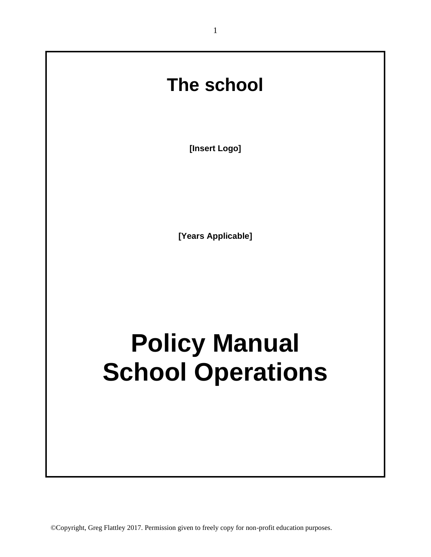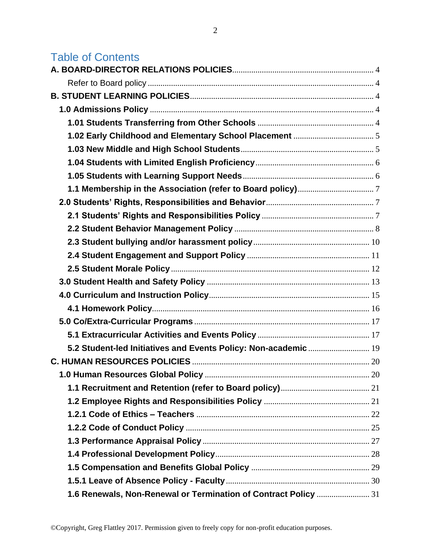# Table of Contents

| 5.2 Student-led Initiatives and Events Policy: Non-academic  19 |  |
|-----------------------------------------------------------------|--|
|                                                                 |  |
|                                                                 |  |
|                                                                 |  |
|                                                                 |  |
|                                                                 |  |
|                                                                 |  |
|                                                                 |  |
|                                                                 |  |
|                                                                 |  |
|                                                                 |  |
| 1.6 Renewals, Non-Renewal or Termination of Contract Policy  31 |  |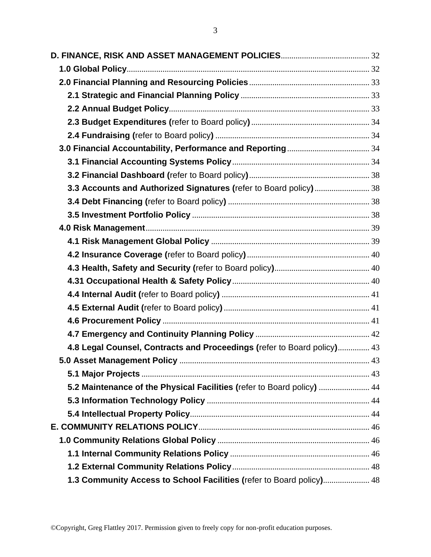| 3.3 Accounts and Authorized Signatures (refer to Board policy) 38       |  |
|-------------------------------------------------------------------------|--|
|                                                                         |  |
|                                                                         |  |
|                                                                         |  |
|                                                                         |  |
|                                                                         |  |
|                                                                         |  |
|                                                                         |  |
|                                                                         |  |
|                                                                         |  |
|                                                                         |  |
|                                                                         |  |
| 4.8 Legal Counsel, Contracts and Proceedings (refer to Board policy) 43 |  |
|                                                                         |  |
|                                                                         |  |
| 5.2 Maintenance of the Physical Facilities (refer to Board policy)  44  |  |
|                                                                         |  |
|                                                                         |  |
|                                                                         |  |
|                                                                         |  |
|                                                                         |  |
|                                                                         |  |
| 1.3 Community Access to School Facilities (refer to Board policy) 48    |  |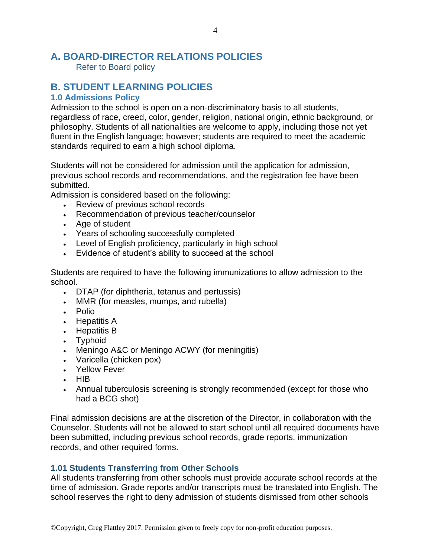## <span id="page-3-0"></span>**A. BOARD-DIRECTOR RELATIONS POLICIES**

<span id="page-3-1"></span>Refer to Board policy

## <span id="page-3-2"></span>**B. STUDENT LEARNING POLICIES**

#### <span id="page-3-3"></span>**1.0 Admissions Policy**

Admission to the school is open on a non-discriminatory basis to all students, regardless of race, creed, color, gender, religion, national origin, ethnic background, or philosophy. Students of all nationalities are welcome to apply, including those not yet fluent in the English language; however; students are required to meet the academic standards required to earn a high school diploma.

Students will not be considered for admission until the application for admission, previous school records and recommendations, and the registration fee have been submitted.

Admission is considered based on the following:

- Review of previous school records
- Recommendation of previous teacher/counselor
- Age of student
- Years of schooling successfully completed
- Level of English proficiency, particularly in high school
- Evidence of student's ability to succeed at the school

Students are required to have the following immunizations to allow admission to the school.

- DTAP (for diphtheria, tetanus and pertussis)
- MMR (for measles, mumps, and rubella)
- Polio
- Hepatitis A
- Hepatitis B
- Typhoid
- Meningo A&C or Meningo ACWY (for meningitis)
- Varicella (chicken pox)
- Yellow Fever
- HIB
- Annual tuberculosis screening is strongly recommended (except for those who had a BCG shot)

Final admission decisions are at the discretion of the Director, in collaboration with the Counselor. Students will not be allowed to start school until all required documents have been submitted, including previous school records, grade reports, immunization records, and other required forms.

### <span id="page-3-4"></span>**1.01 Students Transferring from Other Schools**

All students transferring from other schools must provide accurate school records at the time of admission. Grade reports and/or transcripts must be translated into English. The school reserves the right to deny admission of students dismissed from other schools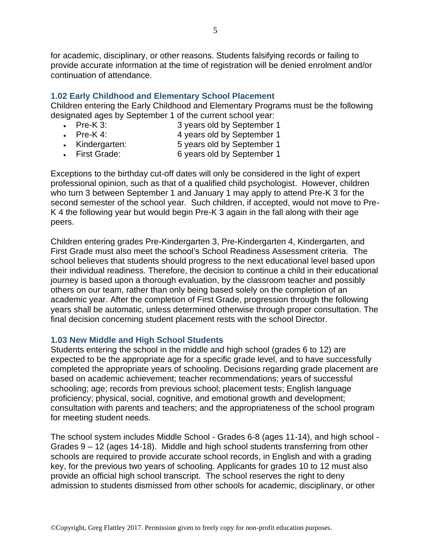for academic, disciplinary, or other reasons. Students falsifying records or failing to provide accurate information at the time of registration will be denied enrolment and/or continuation of attendance.

### <span id="page-4-0"></span>**1.02 Early Childhood and Elementary School Placement**

Children entering the Early Childhood and Elementary Programs must be the following designated ages by September 1 of the current school year:

- Pre-K 3: 3 years old by September 1
- 
- Pre-K 4: 4 years old by September 1
- Kindergarten: 5 years old by September 1
- First Grade: 6 years old by September 1

Exceptions to the birthday cut-off dates will only be considered in the light of expert professional opinion, such as that of a qualified child psychologist. However, children who turn 3 between September 1 and January 1 may apply to attend Pre-K 3 for the second semester of the school year. Such children, if accepted, would not move to Pre-K 4 the following year but would begin Pre-K 3 again in the fall along with their age peers.

Children entering grades Pre-Kindergarten 3, Pre-Kindergarten 4, Kindergarten, and First Grade must also meet the school's School Readiness Assessment criteria. The school believes that students should progress to the next educational level based upon their individual readiness. Therefore, the decision to continue a child in their educational journey is based upon a thorough evaluation, by the classroom teacher and possibly others on our team, rather than only being based solely on the completion of an academic year. After the completion of First Grade, progression through the following years shall be automatic, unless determined otherwise through proper consultation. The final decision concerning student placement rests with the school Director.

#### <span id="page-4-1"></span>**1.03 New Middle and High School Students**

Students entering the school in the middle and high school (grades 6 to 12) are expected to be the appropriate age for a specific grade level, and to have successfully completed the appropriate years of schooling. Decisions regarding grade placement are based on academic achievement; teacher recommendations; years of successful schooling; age; records from previous school; placement tests; English language proficiency; physical, social, cognitive, and emotional growth and development; consultation with parents and teachers; and the appropriateness of the school program for meeting student needs.

The school system includes Middle School - Grades 6-8 (ages 11-14), and high school - Grades 9 – 12 (ages 14-18). Middle and high school students transferring from other schools are required to provide accurate school records, in English and with a grading key, for the previous two years of schooling. Applicants for grades 10 to 12 must also provide an official high school transcript. The school reserves the right to deny admission to students dismissed from other schools for academic, disciplinary, or other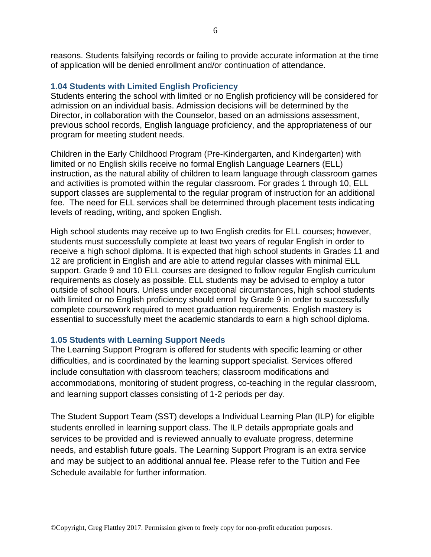reasons. Students falsifying records or failing to provide accurate information at the time of application will be denied enrollment and/or continuation of attendance.

#### <span id="page-5-0"></span>**1.04 Students with Limited English Proficiency**

Students entering the school with limited or no English proficiency will be considered for admission on an individual basis. Admission decisions will be determined by the Director, in collaboration with the Counselor, based on an admissions assessment, previous school records, English language proficiency, and the appropriateness of our program for meeting student needs.

Children in the Early Childhood Program (Pre-Kindergarten, and Kindergarten) with limited or no English skills receive no formal English Language Learners (ELL) instruction, as the natural ability of children to learn language through classroom games and activities is promoted within the regular classroom. For grades 1 through 10, ELL support classes are supplemental to the regular program of instruction for an additional fee. The need for ELL services shall be determined through placement tests indicating levels of reading, writing, and spoken English.

High school students may receive up to two English credits for ELL courses; however, students must successfully complete at least two years of regular English in order to receive a high school diploma. It is expected that high school students in Grades 11 and 12 are proficient in English and are able to attend regular classes with minimal ELL support. Grade 9 and 10 ELL courses are designed to follow regular English curriculum requirements as closely as possible. ELL students may be advised to employ a tutor outside of school hours. Unless under exceptional circumstances, high school students with limited or no English proficiency should enroll by Grade 9 in order to successfully complete coursework required to meet graduation requirements. English mastery is essential to successfully meet the academic standards to earn a high school diploma.

#### <span id="page-5-1"></span>**1.05 Students with Learning Support Needs**

The Learning Support Program is offered for students with specific learning or other difficulties, and is coordinated by the learning support specialist. Services offered include consultation with classroom teachers; classroom modifications and accommodations, monitoring of student progress, co-teaching in the regular classroom, and learning support classes consisting of 1-2 periods per day.

The Student Support Team (SST) develops a Individual Learning Plan (ILP) for eligible students enrolled in learning support class. The ILP details appropriate goals and services to be provided and is reviewed annually to evaluate progress, determine needs, and establish future goals. The Learning Support Program is an extra service and may be subject to an additional annual fee. Please refer to the Tuition and Fee Schedule available for further information.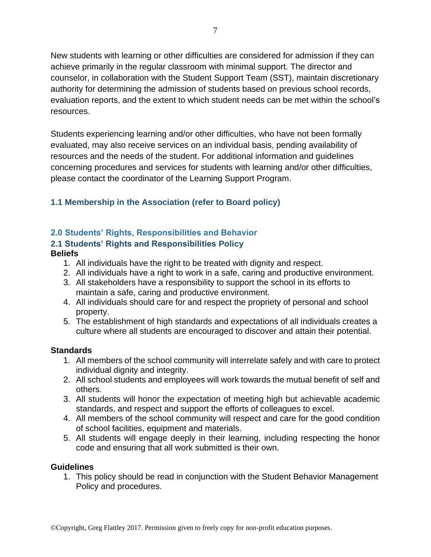New students with learning or other difficulties are considered for admission if they can achieve primarily in the regular classroom with minimal support. The director and counselor, in collaboration with the Student Support Team (SST), maintain discretionary authority for determining the admission of students based on previous school records, evaluation reports, and the extent to which student needs can be met within the school's resources.

Students experiencing learning and/or other difficulties, who have not been formally evaluated, may also receive services on an individual basis, pending availability of resources and the needs of the student. For additional information and guidelines concerning procedures and services for students with learning and/or other difficulties, please contact the coordinator of the Learning Support Program.

## <span id="page-6-0"></span>**1.1 Membership in the Association (refer to Board policy)**

## <span id="page-6-1"></span>**2.0 Students' Rights, Responsibilities and Behavior**

#### <span id="page-6-2"></span>**2.1 Students' Rights and Responsibilities Policy Beliefs**

- 1. All individuals have the right to be treated with dignity and respect.
- 2. All individuals have a right to work in a safe, caring and productive environment.
- 3. All stakeholders have a responsibility to support the school in its efforts to maintain a safe, caring and productive environment.
- 4. All individuals should care for and respect the propriety of personal and school property.
- 5. The establishment of high standards and expectations of all individuals creates a culture where all students are encouraged to discover and attain their potential.

### **Standards**

- 1. All members of the school community will interrelate safely and with care to protect individual dignity and integrity.
- 2. All school students and employees will work towards the mutual benefit of self and others.
- 3. All students will honor the expectation of meeting high but achievable academic standards, and respect and support the efforts of colleagues to excel.
- 4. All members of the school community will respect and care for the good condition of school facilities, equipment and materials.
- 5. All students will engage deeply in their learning, including respecting the honor code and ensuring that all work submitted is their own.

### **Guidelines**

1. This policy should be read in conjunction with the Student Behavior Management Policy and procedures.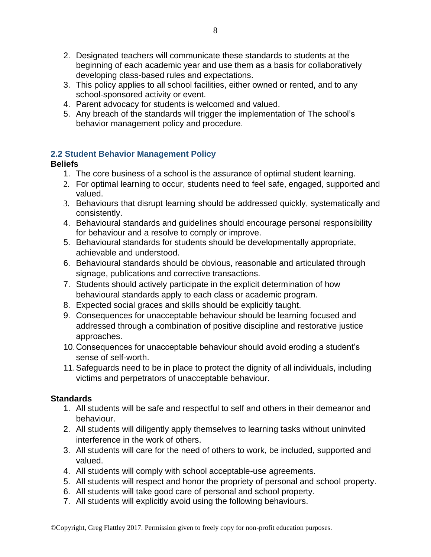- 2. Designated teachers will communicate these standards to students at the beginning of each academic year and use them as a basis for collaboratively developing class-based rules and expectations.
- 3. This policy applies to all school facilities, either owned or rented, and to any school-sponsored activity or event.
- 4. Parent advocacy for students is welcomed and valued.
- 5. Any breach of the standards will trigger the implementation of The school's behavior management policy and procedure.

## <span id="page-7-0"></span>**2.2 Student Behavior Management Policy**

### **Beliefs**

- 1. The core business of a school is the assurance of optimal student learning.
- 2. For optimal learning to occur, students need to feel safe, engaged, supported and valued.
- 3. Behaviours that disrupt learning should be addressed quickly, systematically and consistently.
- 4. Behavioural standards and guidelines should encourage personal responsibility for behaviour and a resolve to comply or improve.
- 5. Behavioural standards for students should be developmentally appropriate, achievable and understood.
- 6. Behavioural standards should be obvious, reasonable and articulated through signage, publications and corrective transactions.
- 7. Students should actively participate in the explicit determination of how behavioural standards apply to each class or academic program.
- 8. Expected social graces and skills should be explicitly taught.
- 9. Consequences for unacceptable behaviour should be learning focused and addressed through a combination of positive discipline and restorative justice approaches.
- 10.Consequences for unacceptable behaviour should avoid eroding a student's sense of self-worth.
- 11.Safeguards need to be in place to protect the dignity of all individuals, including victims and perpetrators of unacceptable behaviour.

- 1. All students will be safe and respectful to self and others in their demeanor and behaviour.
- 2. All students will diligently apply themselves to learning tasks without uninvited interference in the work of others.
- 3. All students will care for the need of others to work, be included, supported and valued.
- 4. All students will comply with school acceptable-use agreements.
- 5. All students will respect and honor the propriety of personal and school property.
- 6. All students will take good care of personal and school property.
- 7. All students will explicitly avoid using the following behaviours.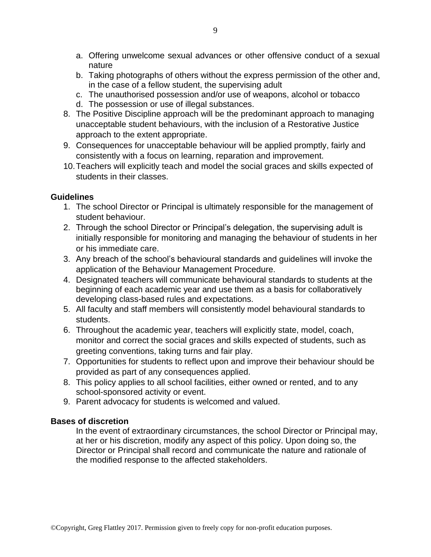- a. Offering unwelcome sexual advances or other offensive conduct of a sexual nature
- b. Taking photographs of others without the express permission of the other and, in the case of a fellow student, the supervising adult
- c. The unauthorised possession and/or use of weapons, alcohol or tobacco
- d. The possession or use of illegal substances.
- 8. The Positive Discipline approach will be the predominant approach to managing unacceptable student behaviours, with the inclusion of a Restorative Justice approach to the extent appropriate.
- 9. Consequences for unacceptable behaviour will be applied promptly, fairly and consistently with a focus on learning, reparation and improvement.
- 10.Teachers will explicitly teach and model the social graces and skills expected of students in their classes.

- 1. The school Director or Principal is ultimately responsible for the management of student behaviour.
- 2. Through the school Director or Principal's delegation, the supervising adult is initially responsible for monitoring and managing the behaviour of students in her or his immediate care.
- 3. Any breach of the school's behavioural standards and guidelines will invoke the application of the Behaviour Management Procedure.
- 4. Designated teachers will communicate behavioural standards to students at the beginning of each academic year and use them as a basis for collaboratively developing class-based rules and expectations.
- 5. All faculty and staff members will consistently model behavioural standards to students.
- 6. Throughout the academic year, teachers will explicitly state, model, coach, monitor and correct the social graces and skills expected of students, such as greeting conventions, taking turns and fair play.
- 7. Opportunities for students to reflect upon and improve their behaviour should be provided as part of any consequences applied.
- 8. This policy applies to all school facilities, either owned or rented, and to any school-sponsored activity or event.
- 9. Parent advocacy for students is welcomed and valued.

#### **Bases of discretion**

In the event of extraordinary circumstances, the school Director or Principal may, at her or his discretion, modify any aspect of this policy. Upon doing so, the Director or Principal shall record and communicate the nature and rationale of the modified response to the affected stakeholders.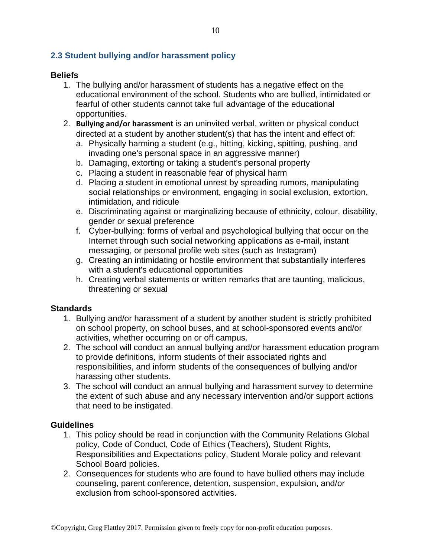### <span id="page-9-0"></span>**2.3 Student bullying and/or harassment policy**

#### **Beliefs**

- 1. The bullying and/or harassment of students has a negative effect on the educational environment of the school. Students who are bullied, intimidated or fearful of other students cannot take full advantage of the educational opportunities.
- 2. **Bullying and/or harassment** is an uninvited verbal, written or physical conduct directed at a student by another student(s) that has the intent and effect of:
	- a. Physically harming a student (e.g., hitting, kicking, spitting, pushing, and invading one's personal space in an aggressive manner)
	- b. Damaging, extorting or taking a student's personal property
	- c. Placing a student in reasonable fear of physical harm
	- d. Placing a student in emotional unrest by spreading rumors, manipulating social relationships or environment, engaging in social exclusion, extortion, intimidation, and ridicule
	- e. Discriminating against or marginalizing because of ethnicity, colour, disability, gender or sexual preference
	- f. Cyber-bullying: forms of verbal and psychological bullying that occur on the Internet through such social networking applications as e-mail, instant messaging, or personal profile web sites (such as Instagram)
	- g. Creating an intimidating or hostile environment that substantially interferes with a student's educational opportunities
	- h. Creating verbal statements or written remarks that are taunting, malicious, threatening or sexual

### **Standards**

- 1. Bullying and/or harassment of a student by another student is strictly prohibited on school property, on school buses, and at school-sponsored events and/or activities, whether occurring on or off campus.
- 2. The school will conduct an annual bullying and/or harassment education program to provide definitions, inform students of their associated rights and responsibilities, and inform students of the consequences of bullying and/or harassing other students.
- 3. The school will conduct an annual bullying and harassment survey to determine the extent of such abuse and any necessary intervention and/or support actions that need to be instigated.

#### **Guidelines**

- 1. This policy should be read in conjunction with the Community Relations Global policy, Code of Conduct, Code of Ethics (Teachers), Student Rights, Responsibilities and Expectations policy, Student Morale policy and relevant School Board policies.
- 2. Consequences for students who are found to have bullied others may include counseling, parent conference, detention, suspension, expulsion, and/or exclusion from school-sponsored activities.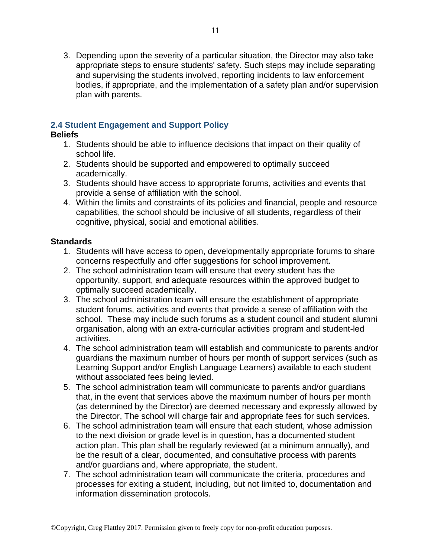3. Depending upon the severity of a particular situation, the Director may also take appropriate steps to ensure students' safety. Such steps may include separating and supervising the students involved, reporting incidents to law enforcement bodies, if appropriate, and the implementation of a safety plan and/or supervision plan with parents.

#### <span id="page-10-0"></span>**2.4 Student Engagement and Support Policy**

#### **Beliefs**

- 1. Students should be able to influence decisions that impact on their quality of school life.
- 2. Students should be supported and empowered to optimally succeed academically.
- 3. Students should have access to appropriate forums, activities and events that provide a sense of affiliation with the school.
- 4. Within the limits and constraints of its policies and financial, people and resource capabilities, the school should be inclusive of all students, regardless of their cognitive, physical, social and emotional abilities.

- 1. Students will have access to open, developmentally appropriate forums to share concerns respectfully and offer suggestions for school improvement.
- 2. The school administration team will ensure that every student has the opportunity, support, and adequate resources within the approved budget to optimally succeed academically.
- 3. The school administration team will ensure the establishment of appropriate student forums, activities and events that provide a sense of affiliation with the school. These may include such forums as a student council and student alumni organisation, along with an extra-curricular activities program and student-led activities.
- 4. The school administration team will establish and communicate to parents and/or guardians the maximum number of hours per month of support services (such as Learning Support and/or English Language Learners) available to each student without associated fees being levied.
- 5. The school administration team will communicate to parents and/or guardians that, in the event that services above the maximum number of hours per month (as determined by the Director) are deemed necessary and expressly allowed by the Director, The school will charge fair and appropriate fees for such services.
- 6. The school administration team will ensure that each student, whose admission to the next division or grade level is in question, has a documented student action plan. This plan shall be regularly reviewed (at a minimum annually), and be the result of a clear, documented, and consultative process with parents and/or guardians and, where appropriate, the student.
- 7. The school administration team will communicate the criteria, procedures and processes for exiting a student, including, but not limited to, documentation and information dissemination protocols.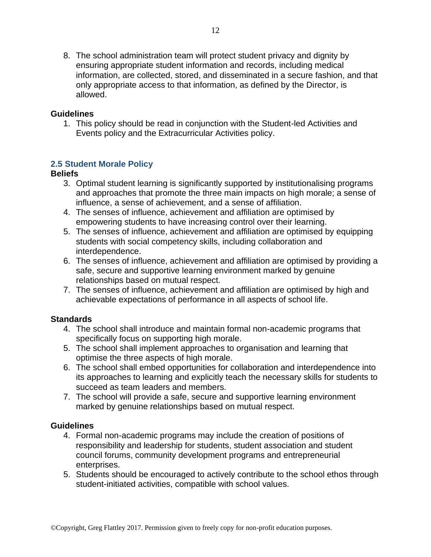8. The school administration team will protect student privacy and dignity by ensuring appropriate student information and records, including medical information, are collected, stored, and disseminated in a secure fashion, and that only appropriate access to that information, as defined by the Director, is allowed.

#### **Guidelines**

1. This policy should be read in conjunction with the Student-led Activities and Events policy and the Extracurricular Activities policy.

#### <span id="page-11-0"></span>**2.5 Student Morale Policy**

#### **Beliefs**

- 3. Optimal student learning is significantly supported by institutionalising programs and approaches that promote the three main impacts on high morale; a sense of influence, a sense of achievement, and a sense of affiliation.
- 4. The senses of influence, achievement and affiliation are optimised by empowering students to have increasing control over their learning.
- 5. The senses of influence, achievement and affiliation are optimised by equipping students with social competency skills, including collaboration and interdependence.
- 6. The senses of influence, achievement and affiliation are optimised by providing a safe, secure and supportive learning environment marked by genuine relationships based on mutual respect.
- 7. The senses of influence, achievement and affiliation are optimised by high and achievable expectations of performance in all aspects of school life.

#### **Standards**

- 4. The school shall introduce and maintain formal non-academic programs that specifically focus on supporting high morale.
- 5. The school shall implement approaches to organisation and learning that optimise the three aspects of high morale.
- 6. The school shall embed opportunities for collaboration and interdependence into its approaches to learning and explicitly teach the necessary skills for students to succeed as team leaders and members.
- 7. The school will provide a safe, secure and supportive learning environment marked by genuine relationships based on mutual respect.

#### **Guidelines**

- 4. Formal non-academic programs may include the creation of positions of responsibility and leadership for students, student association and student council forums, community development programs and entrepreneurial enterprises.
- 5. Students should be encouraged to actively contribute to the school ethos through student-initiated activities, compatible with school values.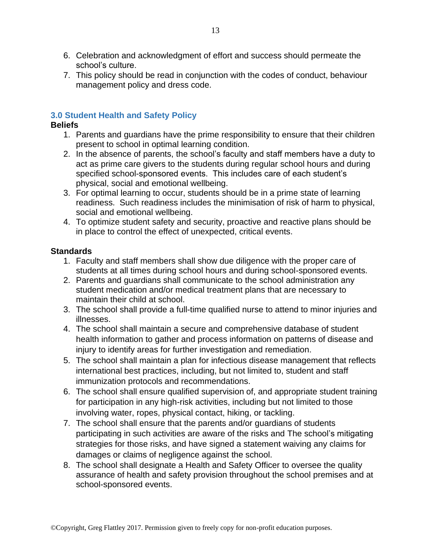- 6. Celebration and acknowledgment of effort and success should permeate the school's culture.
- 7. This policy should be read in conjunction with the codes of conduct, behaviour management policy and dress code.

#### <span id="page-12-0"></span>**3.0 Student Health and Safety Policy**

#### **Beliefs**

- 1. Parents and guardians have the prime responsibility to ensure that their children present to school in optimal learning condition.
- 2. In the absence of parents, the school's faculty and staff members have a duty to act as prime care givers to the students during regular school hours and during specified school-sponsored events. This includes care of each student's physical, social and emotional wellbeing.
- 3. For optimal learning to occur, students should be in a prime state of learning readiness. Such readiness includes the minimisation of risk of harm to physical, social and emotional wellbeing.
- 4. To optimize student safety and security, proactive and reactive plans should be in place to control the effect of unexpected, critical events.

- 1. Faculty and staff members shall show due diligence with the proper care of students at all times during school hours and during school-sponsored events.
- 2. Parents and guardians shall communicate to the school administration any student medication and/or medical treatment plans that are necessary to maintain their child at school.
- 3. The school shall provide a full-time qualified nurse to attend to minor injuries and illnesses.
- 4. The school shall maintain a secure and comprehensive database of student health information to gather and process information on patterns of disease and injury to identify areas for further investigation and remediation.
- 5. The school shall maintain a plan for infectious disease management that reflects international best practices, including, but not limited to, student and staff immunization protocols and recommendations.
- 6. The school shall ensure qualified supervision of, and appropriate student training for participation in any high-risk activities, including but not limited to those involving water, ropes, physical contact, hiking, or tackling.
- 7. The school shall ensure that the parents and/or guardians of students participating in such activities are aware of the risks and The school's mitigating strategies for those risks, and have signed a statement waiving any claims for damages or claims of negligence against the school.
- 8. The school shall designate a Health and Safety Officer to oversee the quality assurance of health and safety provision throughout the school premises and at school-sponsored events.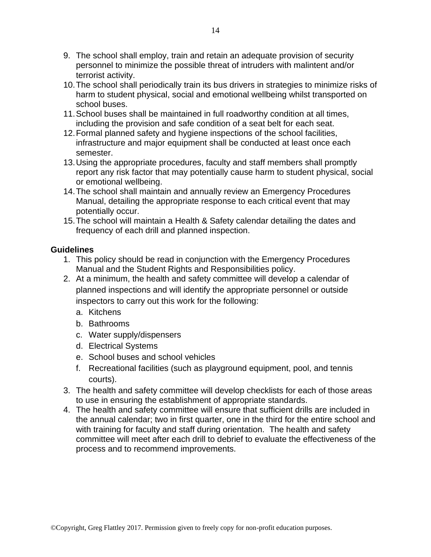- 9. The school shall employ, train and retain an adequate provision of security personnel to minimize the possible threat of intruders with malintent and/or terrorist activity.
- 10.The school shall periodically train its bus drivers in strategies to minimize risks of harm to student physical, social and emotional wellbeing whilst transported on school buses.
- 11.School buses shall be maintained in full roadworthy condition at all times, including the provision and safe condition of a seat belt for each seat.
- 12.Formal planned safety and hygiene inspections of the school facilities, infrastructure and major equipment shall be conducted at least once each semester.
- 13.Using the appropriate procedures, faculty and staff members shall promptly report any risk factor that may potentially cause harm to student physical, social or emotional wellbeing.
- 14.The school shall maintain and annually review an Emergency Procedures Manual, detailing the appropriate response to each critical event that may potentially occur.
- 15.The school will maintain a Health & Safety calendar detailing the dates and frequency of each drill and planned inspection.

- 1. This policy should be read in conjunction with the Emergency Procedures Manual and the Student Rights and Responsibilities policy.
- 2. At a minimum, the health and safety committee will develop a calendar of planned inspections and will identify the appropriate personnel or outside inspectors to carry out this work for the following:
	- a. Kitchens
	- b. Bathrooms
	- c. Water supply/dispensers
	- d. Electrical Systems
	- e. School buses and school vehicles
	- f. Recreational facilities (such as playground equipment, pool, and tennis courts).
- 3. The health and safety committee will develop checklists for each of those areas to use in ensuring the establishment of appropriate standards.
- 4. The health and safety committee will ensure that sufficient drills are included in the annual calendar; two in first quarter, one in the third for the entire school and with training for faculty and staff during orientation. The health and safety committee will meet after each drill to debrief to evaluate the effectiveness of the process and to recommend improvements.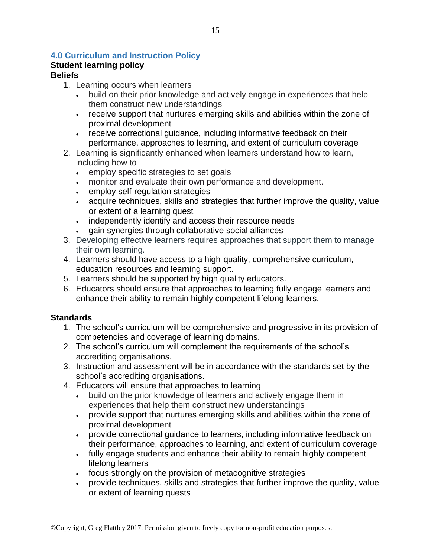### <span id="page-14-0"></span>**4.0 Curriculum and Instruction Policy**

#### **Student learning policy Beliefs**

## 1. Learning occurs when learners

- build on their prior knowledge and actively engage in experiences that help them construct new understandings
- receive support that nurtures emerging skills and abilities within the zone of proximal development
- receive correctional guidance, including informative feedback on their performance, approaches to learning, and extent of curriculum coverage
- 2. Learning is significantly enhanced when learners understand how to learn, including how to
	- employ specific strategies to set goals
	- monitor and evaluate their own performance and development.
	- employ self-regulation strategies
	- acquire techniques, skills and strategies that further improve the quality, value or extent of a learning quest
	- independently identify and access their resource needs
		- gain synergies through collaborative social alliances
- 3. Developing effective learners requires approaches that support them to manage their own learning.
- 4. Learners should have access to a high-quality, comprehensive curriculum, education resources and learning support.
- 5. Learners should be supported by high quality educators.
- 6. Educators should ensure that approaches to learning fully engage learners and enhance their ability to remain highly competent lifelong learners.

- 1. The school's curriculum will be comprehensive and progressive in its provision of competencies and coverage of learning domains.
- 2. The school's curriculum will complement the requirements of the school's accrediting organisations.
- 3. Instruction and assessment will be in accordance with the standards set by the school's accrediting organisations.
- 4. Educators will ensure that approaches to learning
	- build on the prior knowledge of learners and actively engage them in experiences that help them construct new understandings
	- provide support that nurtures emerging skills and abilities within the zone of proximal development
	- provide correctional guidance to learners, including informative feedback on their performance, approaches to learning, and extent of curriculum coverage
	- fully engage students and enhance their ability to remain highly competent lifelong learners
	- focus strongly on the provision of metacognitive strategies
	- provide techniques, skills and strategies that further improve the quality, value or extent of learning quests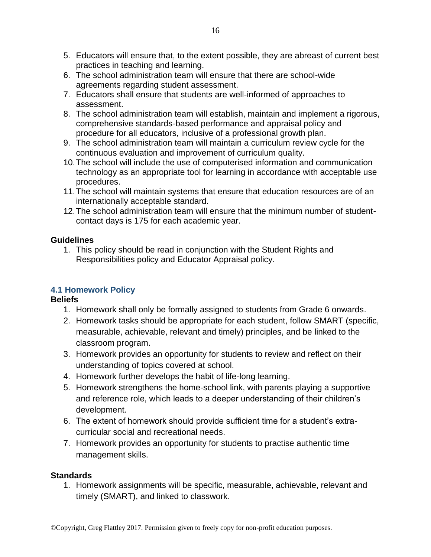- 5. Educators will ensure that, to the extent possible, they are abreast of current best practices in teaching and learning.
- 6. The school administration team will ensure that there are school-wide agreements regarding student assessment.
- 7. Educators shall ensure that students are well-informed of approaches to assessment.
- 8. The school administration team will establish, maintain and implement a rigorous, comprehensive standards-based performance and appraisal policy and procedure for all educators, inclusive of a professional growth plan.
- 9. The school administration team will maintain a curriculum review cycle for the continuous evaluation and improvement of curriculum quality.
- 10.The school will include the use of computerised information and communication technology as an appropriate tool for learning in accordance with acceptable use procedures.
- 11.The school will maintain systems that ensure that education resources are of an internationally acceptable standard.
- 12.The school administration team will ensure that the minimum number of studentcontact days is 175 for each academic year.

1. This policy should be read in conjunction with the Student Rights and Responsibilities policy and Educator Appraisal policy.

## <span id="page-15-0"></span>**4.1 Homework Policy**

## **Beliefs**

- 1. Homework shall only be formally assigned to students from Grade 6 onwards.
- 2. Homework tasks should be appropriate for each student, follow SMART (specific, measurable, achievable, relevant and timely) principles, and be linked to the classroom program.
- 3. Homework provides an opportunity for students to review and reflect on their understanding of topics covered at school.
- 4. Homework further develops the habit of life-long learning.
- 5. Homework strengthens the home-school link, with parents playing a supportive and reference role, which leads to a deeper understanding of their children's development.
- 6. The extent of homework should provide sufficient time for a student's extracurricular social and recreational needs.
- 7. Homework provides an opportunity for students to practise authentic time management skills.

## **Standards**

1. Homework assignments will be specific, measurable, achievable, relevant and timely (SMART), and linked to classwork.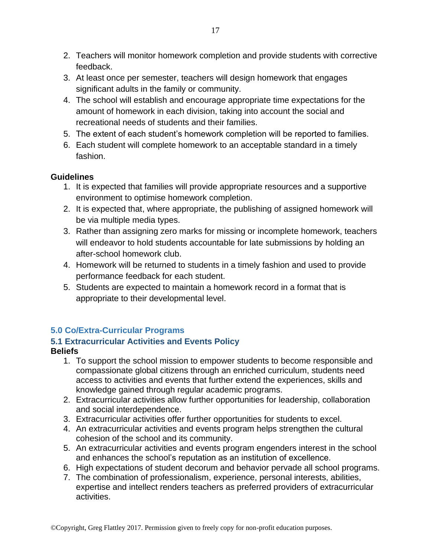- 2. Teachers will monitor homework completion and provide students with corrective feedback.
- 3. At least once per semester, teachers will design homework that engages significant adults in the family or community.
- 4. The school will establish and encourage appropriate time expectations for the amount of homework in each division, taking into account the social and recreational needs of students and their families.
- 5. The extent of each student's homework completion will be reported to families.
- 6. Each student will complete homework to an acceptable standard in a timely fashion.

- 1. It is expected that families will provide appropriate resources and a supportive environment to optimise homework completion.
- 2. It is expected that, where appropriate, the publishing of assigned homework will be via multiple media types.
- 3. Rather than assigning zero marks for missing or incomplete homework, teachers will endeavor to hold students accountable for late submissions by holding an after-school homework club.
- 4. Homework will be returned to students in a timely fashion and used to provide performance feedback for each student.
- 5. Students are expected to maintain a homework record in a format that is appropriate to their developmental level.

## <span id="page-16-0"></span>**5.0 Co/Extra-Curricular Programs**

## <span id="page-16-1"></span>**5.1 Extracurricular Activities and Events Policy**

### **Beliefs**

- 1. To support the school mission to empower students to become responsible and compassionate global citizens through an enriched curriculum, students need access to activities and events that further extend the experiences, skills and knowledge gained through regular academic programs.
- 2. Extracurricular activities allow further opportunities for leadership, collaboration and social interdependence.
- 3. Extracurricular activities offer further opportunities for students to excel.
- 4. An extracurricular activities and events program helps strengthen the cultural cohesion of the school and its community.
- 5. An extracurricular activities and events program engenders interest in the school and enhances the school's reputation as an institution of excellence.
- 6. High expectations of student decorum and behavior pervade all school programs.
- 7. The combination of professionalism, experience, personal interests, abilities, expertise and intellect renders teachers as preferred providers of extracurricular activities.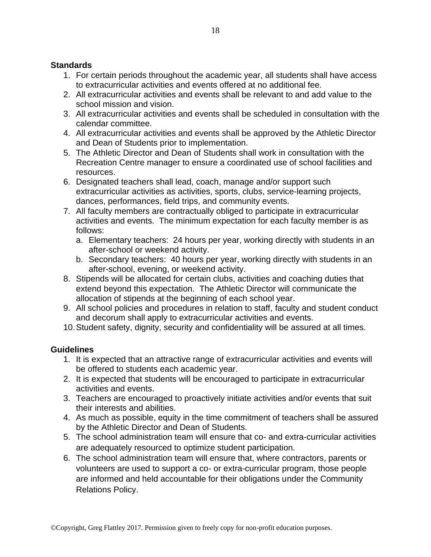#### **Standards**

- 1. For certain periods throughout the academic year, all students shall have access to extracurricular activities and events offered at no additional fee.
- 2. All extracurricular activities and events shall be relevant to and add value to the school mission and vision.
- 3. All extracurricular activities and events shall be scheduled in consultation with the calendar committee.
- 4. All extracurricular activities and events shall be approved by the Athletic Director and Dean of Students prior to implementation.
- 5. The Athletic Director and Dean of Students shall work in consultation with the Recreation Centre manager to ensure a coordinated use of school facilities and resources.
- 6. Designated teachers shall lead, coach, manage and/or support such extracurricular activities as activities, sports, clubs, service-learning projects, dances, performances, field trips, and community events.
- 7. All faculty members are contractually obliged to participate in extracurricular activities and events. The minimum expectation for each faculty member is as follows:
	- a. Elementary teachers: 24 hours per year, working directly with students in an after-school or weekend activity.
	- b. Secondary teachers: 40 hours per year, working directly with students in an after-school, evening, or weekend activity.
- 8. Stipends will be allocated for certain clubs, activities and coaching duties that extend beyond this expectation. The Athletic Director will communicate the allocation of stipends at the beginning of each school year.
- 9. All school policies and procedures in relation to staff, faculty and student conduct and decorum shall apply to extracurricular activities and events.
- 10.Student safety, dignity, security and confidentiality will be assured at all times.

### **Guidelines**

- 1. It is expected that an attractive range of extracurricular activities and events will be offered to students each academic year.
- 2. It is expected that students will be encouraged to participate in extracurricular activities and events.
- 3. Teachers are encouraged to proactively initiate activities and/or events that suit their interests and abilities.
- 4. As much as possible, equity in the time commitment of teachers shall be assured by the Athletic Director and Dean of Students.
- 5. The school administration team will ensure that co- and extra-curricular activities are adequately resourced to optimize student participation.
- 6. The school administration team will ensure that, where contractors, parents or volunteers are used to support a co- or extra-curricular program, those people are informed and held accountable for their obligations under the Community Relations Policy.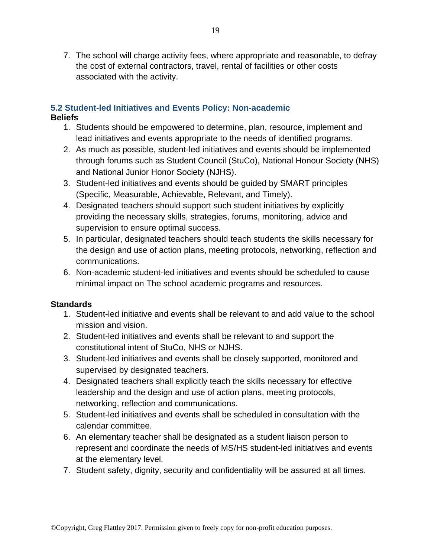7. The school will charge activity fees, where appropriate and reasonable, to defray the cost of external contractors, travel, rental of facilities or other costs associated with the activity.

#### <span id="page-18-0"></span>**5.2 Student-led Initiatives and Events Policy: Non-academic Beliefs**

- 1. Students should be empowered to determine, plan, resource, implement and lead initiatives and events appropriate to the needs of identified programs.
- 2. As much as possible, student-led initiatives and events should be implemented through forums such as Student Council (StuCo), National Honour Society (NHS) and National Junior Honor Society (NJHS).
- 3. Student-led initiatives and events should be guided by SMART principles (Specific, Measurable, Achievable, Relevant, and Timely).
- 4. Designated teachers should support such student initiatives by explicitly providing the necessary skills, strategies, forums, monitoring, advice and supervision to ensure optimal success.
- 5. In particular, designated teachers should teach students the skills necessary for the design and use of action plans, meeting protocols, networking, reflection and communications.
- 6. Non-academic student-led initiatives and events should be scheduled to cause minimal impact on The school academic programs and resources.

- 1. Student-led initiative and events shall be relevant to and add value to the school mission and vision.
- 2. Student-led initiatives and events shall be relevant to and support the constitutional intent of StuCo, NHS or NJHS.
- 3. Student-led initiatives and events shall be closely supported, monitored and supervised by designated teachers.
- 4. Designated teachers shall explicitly teach the skills necessary for effective leadership and the design and use of action plans, meeting protocols, networking, reflection and communications.
- 5. Student-led initiatives and events shall be scheduled in consultation with the calendar committee.
- 6. An elementary teacher shall be designated as a student liaison person to represent and coordinate the needs of MS/HS student-led initiatives and events at the elementary level.
- 7. Student safety, dignity, security and confidentiality will be assured at all times.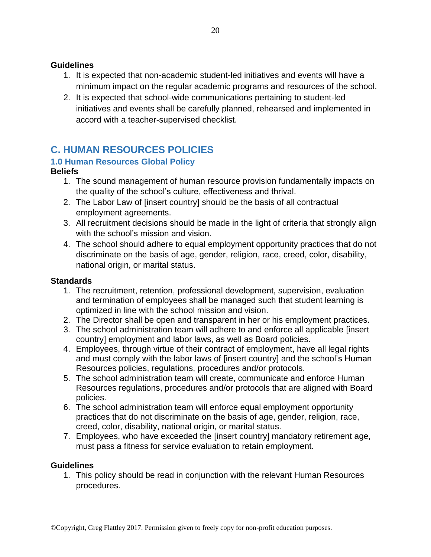- 1. It is expected that non-academic student-led initiatives and events will have a minimum impact on the regular academic programs and resources of the school.
- 2. It is expected that school-wide communications pertaining to student-led initiatives and events shall be carefully planned, rehearsed and implemented in accord with a teacher-supervised checklist.

## <span id="page-19-0"></span>**C. HUMAN RESOURCES POLICIES**

## <span id="page-19-1"></span>**1.0 Human Resources Global Policy**

#### **Beliefs**

- 1. The sound management of human resource provision fundamentally impacts on the quality of the school's culture, effectiveness and thrival.
- 2. The Labor Law of [insert country] should be the basis of all contractual employment agreements.
- 3. All recruitment decisions should be made in the light of criteria that strongly align with the school's mission and vision.
- 4. The school should adhere to equal employment opportunity practices that do not discriminate on the basis of age, gender, religion, race, creed, color, disability, national origin, or marital status.

#### **Standards**

- 1. The recruitment, retention, professional development, supervision, evaluation and termination of employees shall be managed such that student learning is optimized in line with the school mission and vision.
- 2. The Director shall be open and transparent in her or his employment practices.
- 3. The school administration team will adhere to and enforce all applicable [insert country] employment and labor laws, as well as Board policies.
- 4. Employees, through virtue of their contract of employment, have all legal rights and must comply with the labor laws of [insert country] and the school's Human Resources policies, regulations, procedures and/or protocols.
- 5. The school administration team will create, communicate and enforce Human Resources regulations, procedures and/or protocols that are aligned with Board policies.
- 6. The school administration team will enforce equal employment opportunity practices that do not discriminate on the basis of age, gender, religion, race, creed, color, disability, national origin, or marital status.
- 7. Employees, who have exceeded the [insert country] mandatory retirement age, must pass a fitness for service evaluation to retain employment.

#### **Guidelines**

1. This policy should be read in conjunction with the relevant Human Resources procedures.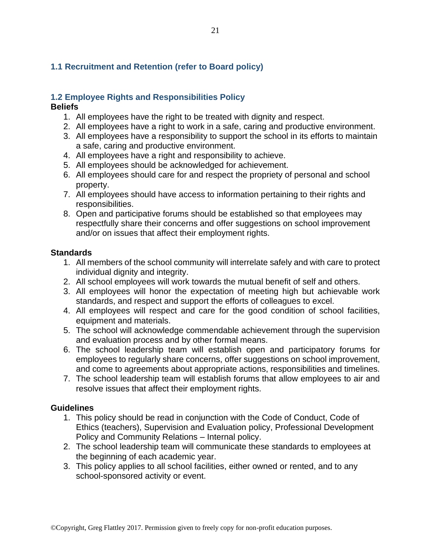### <span id="page-20-0"></span>**1.1 Recruitment and Retention (refer to Board policy)**

#### <span id="page-20-1"></span>**1.2 Employee Rights and Responsibilities Policy**

#### **Beliefs**

- 1. All employees have the right to be treated with dignity and respect.
- 2. All employees have a right to work in a safe, caring and productive environment.
- 3. All employees have a responsibility to support the school in its efforts to maintain a safe, caring and productive environment.
- 4. All employees have a right and responsibility to achieve.
- 5. All employees should be acknowledged for achievement.
- 6. All employees should care for and respect the propriety of personal and school property.
- 7. All employees should have access to information pertaining to their rights and responsibilities.
- 8. Open and participative forums should be established so that employees may respectfully share their concerns and offer suggestions on school improvement and/or on issues that affect their employment rights.

#### **Standards**

- 1. All members of the school community will interrelate safely and with care to protect individual dignity and integrity.
- 2. All school employees will work towards the mutual benefit of self and others.
- 3. All employees will honor the expectation of meeting high but achievable work standards, and respect and support the efforts of colleagues to excel.
- 4. All employees will respect and care for the good condition of school facilities, equipment and materials.
- 5. The school will acknowledge commendable achievement through the supervision and evaluation process and by other formal means.
- 6. The school leadership team will establish open and participatory forums for employees to regularly share concerns, offer suggestions on school improvement, and come to agreements about appropriate actions, responsibilities and timelines.
- 7. The school leadership team will establish forums that allow employees to air and resolve issues that affect their employment rights.

#### **Guidelines**

- 1. This policy should be read in conjunction with the Code of Conduct, Code of Ethics (teachers), Supervision and Evaluation policy, Professional Development Policy and Community Relations – Internal policy.
- 2. The school leadership team will communicate these standards to employees at the beginning of each academic year.
- 3. This policy applies to all school facilities, either owned or rented, and to any school-sponsored activity or event.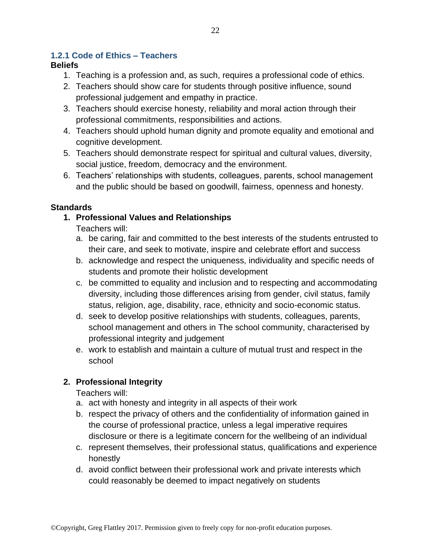### <span id="page-21-0"></span>**1.2.1 Code of Ethics – Teachers**

### **Beliefs**

- 1. Teaching is a profession and, as such, requires a professional code of ethics.
- 2. Teachers should show care for students through positive influence, sound professional judgement and empathy in practice.
- 3. Teachers should exercise honesty, reliability and moral action through their professional commitments, responsibilities and actions.
- 4. Teachers should uphold human dignity and promote equality and emotional and cognitive development.
- 5. Teachers should demonstrate respect for spiritual and cultural values, diversity, social justice, freedom, democracy and the environment.
- 6. Teachers' relationships with students, colleagues, parents, school management and the public should be based on goodwill, fairness, openness and honesty.

## **Standards**

**1. Professional Values and Relationships**

Teachers will:

- a. be caring, fair and committed to the best interests of the students entrusted to their care, and seek to motivate, inspire and celebrate effort and success
- b. acknowledge and respect the uniqueness, individuality and specific needs of students and promote their holistic development
- c. be committed to equality and inclusion and to respecting and accommodating diversity, including those differences arising from gender, civil status, family status, religion, age, disability, race, ethnicity and socio-economic status.
- d. seek to develop positive relationships with students, colleagues, parents, school management and others in The school community, characterised by professional integrity and judgement
- e. work to establish and maintain a culture of mutual trust and respect in the school

## **2. Professional Integrity**

Teachers will:

- a. act with honesty and integrity in all aspects of their work
- b. respect the privacy of others and the confidentiality of information gained in the course of professional practice, unless a legal imperative requires disclosure or there is a legitimate concern for the wellbeing of an individual
- c. represent themselves, their professional status, qualifications and experience honestly
- d. avoid conflict between their professional work and private interests which could reasonably be deemed to impact negatively on students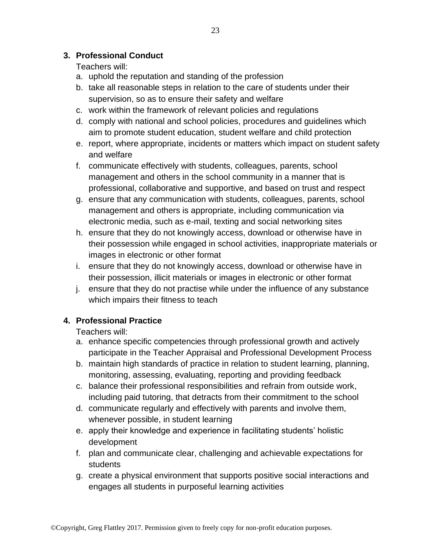## Teachers will:

- a. uphold the reputation and standing of the profession
- b. take all reasonable steps in relation to the care of students under their supervision, so as to ensure their safety and welfare
- c. work within the framework of relevant policies and regulations
- d. comply with national and school policies, procedures and guidelines which aim to promote student education, student welfare and child protection
- e. report, where appropriate, incidents or matters which impact on student safety and welfare
- f. communicate effectively with students, colleagues, parents, school management and others in the school community in a manner that is professional, collaborative and supportive, and based on trust and respect
- g. ensure that any communication with students, colleagues, parents, school management and others is appropriate, including communication via electronic media, such as e-mail, texting and social networking sites
- h. ensure that they do not knowingly access, download or otherwise have in their possession while engaged in school activities, inappropriate materials or images in electronic or other format
- i. ensure that they do not knowingly access, download or otherwise have in their possession, illicit materials or images in electronic or other format
- j. ensure that they do not practise while under the influence of any substance which impairs their fitness to teach

## **4. Professional Practice**

Teachers will:

- a. enhance specific competencies through professional growth and actively participate in the Teacher Appraisal and Professional Development Process
- b. maintain high standards of practice in relation to student learning, planning, monitoring, assessing, evaluating, reporting and providing feedback
- c. balance their professional responsibilities and refrain from outside work, including paid tutoring, that detracts from their commitment to the school
- d. communicate regularly and effectively with parents and involve them, whenever possible, in student learning
- e. apply their knowledge and experience in facilitating students' holistic development
- f. plan and communicate clear, challenging and achievable expectations for students
- g. create a physical environment that supports positive social interactions and engages all students in purposeful learning activities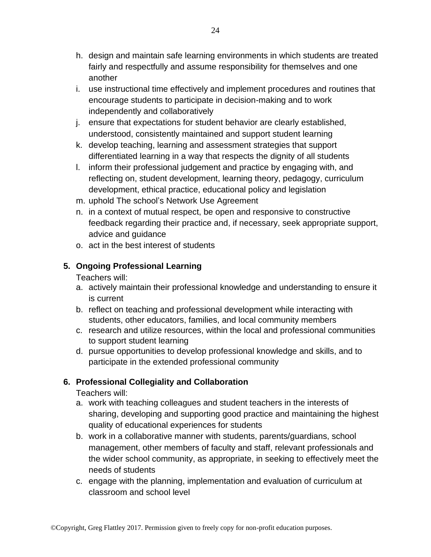- h. design and maintain safe learning environments in which students are treated fairly and respectfully and assume responsibility for themselves and one another
- i. use instructional time effectively and implement procedures and routines that encourage students to participate in decision-making and to work independently and collaboratively
- j. ensure that expectations for student behavior are clearly established, understood, consistently maintained and support student learning
- k. develop teaching, learning and assessment strategies that support differentiated learning in a way that respects the dignity of all students
- l. inform their professional judgement and practice by engaging with, and reflecting on, student development, learning theory, pedagogy, curriculum development, ethical practice, educational policy and legislation
- m. uphold The school's Network Use Agreement
- n. in a context of mutual respect, be open and responsive to constructive feedback regarding their practice and, if necessary, seek appropriate support, advice and guidance
- o. act in the best interest of students

### **5. Ongoing Professional Learning**

Teachers will:

- a. actively maintain their professional knowledge and understanding to ensure it is current
- b. reflect on teaching and professional development while interacting with students, other educators, families, and local community members
- c. research and utilize resources, within the local and professional communities to support student learning
- d. pursue opportunities to develop professional knowledge and skills, and to participate in the extended professional community

## **6. Professional Collegiality and Collaboration**

Teachers will:

- a. work with teaching colleagues and student teachers in the interests of sharing, developing and supporting good practice and maintaining the highest quality of educational experiences for students
- b. work in a collaborative manner with students, parents/guardians, school management, other members of faculty and staff, relevant professionals and the wider school community, as appropriate, in seeking to effectively meet the needs of students
- c. engage with the planning, implementation and evaluation of curriculum at classroom and school level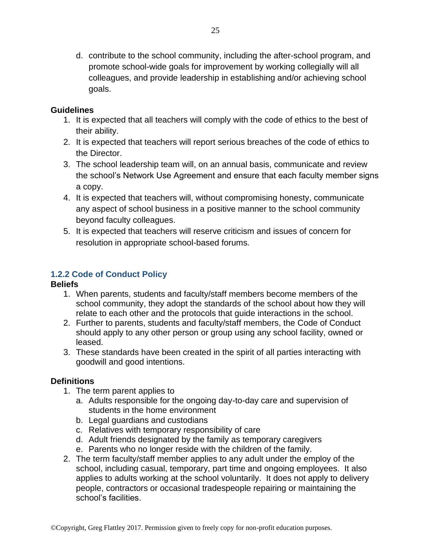d. contribute to the school community, including the after-school program, and promote school-wide goals for improvement by working collegially will all colleagues, and provide leadership in establishing and/or achieving school goals.

#### **Guidelines**

- 1. It is expected that all teachers will comply with the code of ethics to the best of their ability.
- 2. It is expected that teachers will report serious breaches of the code of ethics to the Director.
- 3. The school leadership team will, on an annual basis, communicate and review the school's Network Use Agreement and ensure that each faculty member signs a copy.
- 4. It is expected that teachers will, without compromising honesty, communicate any aspect of school business in a positive manner to the school community beyond faculty colleagues.
- 5. It is expected that teachers will reserve criticism and issues of concern for resolution in appropriate school-based forums.

### <span id="page-24-0"></span>**1.2.2 Code of Conduct Policy**

#### **Beliefs**

- 1. When parents, students and faculty/staff members become members of the school community, they adopt the standards of the school about how they will relate to each other and the protocols that guide interactions in the school.
- 2. Further to parents, students and faculty/staff members, the Code of Conduct should apply to any other person or group using any school facility, owned or leased.
- 3. These standards have been created in the spirit of all parties interacting with goodwill and good intentions.

### **Definitions**

- 1. The term parent applies to
	- a. Adults responsible for the ongoing day-to-day care and supervision of students in the home environment
	- b. Legal guardians and custodians
	- c. Relatives with temporary responsibility of care
	- d. Adult friends designated by the family as temporary caregivers
	- e. Parents who no longer reside with the children of the family.
- 2. The term faculty/staff member applies to any adult under the employ of the school, including casual, temporary, part time and ongoing employees. It also applies to adults working at the school voluntarily. It does not apply to delivery people, contractors or occasional tradespeople repairing or maintaining the school's facilities.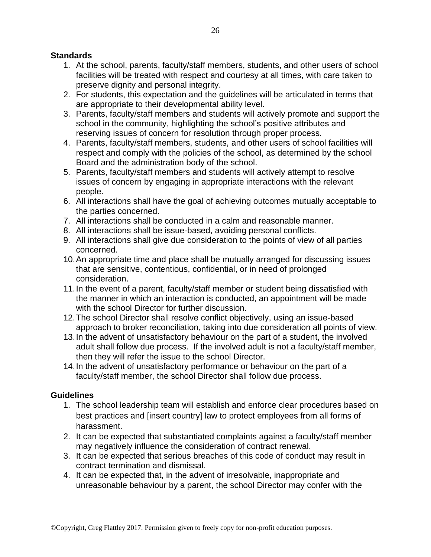#### **Standards**

- 1. At the school, parents, faculty/staff members, students, and other users of school facilities will be treated with respect and courtesy at all times, with care taken to preserve dignity and personal integrity.
- 2. For students, this expectation and the guidelines will be articulated in terms that are appropriate to their developmental ability level.
- 3. Parents, faculty/staff members and students will actively promote and support the school in the community, highlighting the school's positive attributes and reserving issues of concern for resolution through proper process.
- 4. Parents, faculty/staff members, students, and other users of school facilities will respect and comply with the policies of the school, as determined by the school Board and the administration body of the school.
- 5. Parents, faculty/staff members and students will actively attempt to resolve issues of concern by engaging in appropriate interactions with the relevant people.
- 6. All interactions shall have the goal of achieving outcomes mutually acceptable to the parties concerned.
- 7. All interactions shall be conducted in a calm and reasonable manner.
- 8. All interactions shall be issue-based, avoiding personal conflicts.
- 9. All interactions shall give due consideration to the points of view of all parties concerned.
- 10.An appropriate time and place shall be mutually arranged for discussing issues that are sensitive, contentious, confidential, or in need of prolonged consideration.
- 11.In the event of a parent, faculty/staff member or student being dissatisfied with the manner in which an interaction is conducted, an appointment will be made with the school Director for further discussion.
- 12.The school Director shall resolve conflict objectively, using an issue-based approach to broker reconciliation, taking into due consideration all points of view.
- 13.In the advent of unsatisfactory behaviour on the part of a student, the involved adult shall follow due process. If the involved adult is not a faculty/staff member, then they will refer the issue to the school Director.
- 14.In the advent of unsatisfactory performance or behaviour on the part of a faculty/staff member, the school Director shall follow due process.

#### **Guidelines**

- 1. The school leadership team will establish and enforce clear procedures based on best practices and [insert country] law to protect employees from all forms of harassment.
- 2. It can be expected that substantiated complaints against a faculty/staff member may negatively influence the consideration of contract renewal.
- 3. It can be expected that serious breaches of this code of conduct may result in contract termination and dismissal.
- 4. It can be expected that, in the advent of irresolvable, inappropriate and unreasonable behaviour by a parent, the school Director may confer with the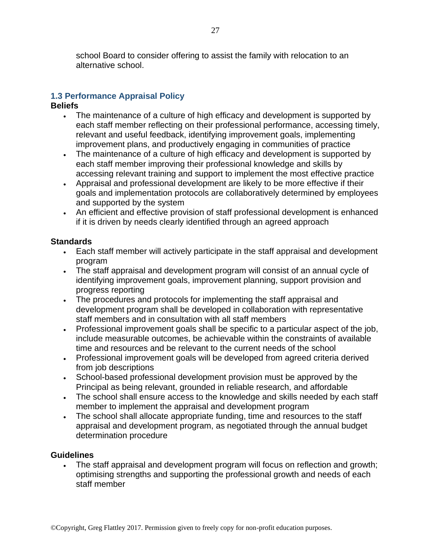school Board to consider offering to assist the family with relocation to an alternative school.

## <span id="page-26-0"></span>**1.3 Performance Appraisal Policy**

#### **Beliefs**

- The maintenance of a culture of high efficacy and development is supported by each staff member reflecting on their professional performance, accessing timely, relevant and useful feedback, identifying improvement goals, implementing improvement plans, and productively engaging in communities of practice
- The maintenance of a culture of high efficacy and development is supported by each staff member improving their professional knowledge and skills by accessing relevant training and support to implement the most effective practice
- Appraisal and professional development are likely to be more effective if their goals and implementation protocols are collaboratively determined by employees and supported by the system
- An efficient and effective provision of staff professional development is enhanced if it is driven by needs clearly identified through an agreed approach

### **Standards**

- Each staff member will actively participate in the staff appraisal and development program
- The staff appraisal and development program will consist of an annual cycle of identifying improvement goals, improvement planning, support provision and progress reporting
- The procedures and protocols for implementing the staff appraisal and development program shall be developed in collaboration with representative staff members and in consultation with all staff members
- Professional improvement goals shall be specific to a particular aspect of the job, include measurable outcomes, be achievable within the constraints of available time and resources and be relevant to the current needs of the school
- Professional improvement goals will be developed from agreed criteria derived from job descriptions
- School-based professional development provision must be approved by the Principal as being relevant, grounded in reliable research, and affordable
- The school shall ensure access to the knowledge and skills needed by each staff member to implement the appraisal and development program
- The school shall allocate appropriate funding, time and resources to the staff appraisal and development program, as negotiated through the annual budget determination procedure

### **Guidelines**

• The staff appraisal and development program will focus on reflection and growth; optimising strengths and supporting the professional growth and needs of each staff member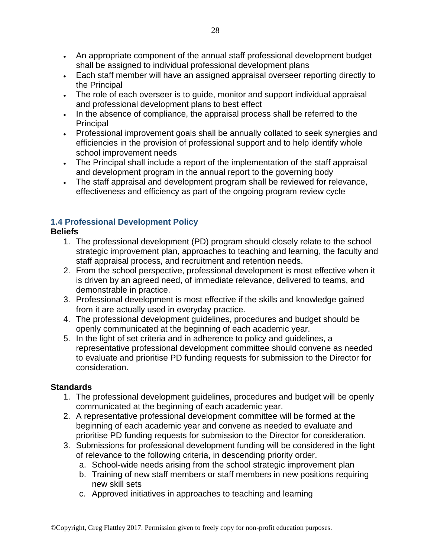- An appropriate component of the annual staff professional development budget shall be assigned to individual professional development plans
- Each staff member will have an assigned appraisal overseer reporting directly to the Principal
- The role of each overseer is to guide, monitor and support individual appraisal and professional development plans to best effect
- In the absence of compliance, the appraisal process shall be referred to the **Principal**
- Professional improvement goals shall be annually collated to seek synergies and efficiencies in the provision of professional support and to help identify whole school improvement needs
- The Principal shall include a report of the implementation of the staff appraisal and development program in the annual report to the governing body
- The staff appraisal and development program shall be reviewed for relevance, effectiveness and efficiency as part of the ongoing program review cycle

### <span id="page-27-0"></span>**1.4 Professional Development Policy**

#### **Beliefs**

- 1. The professional development (PD) program should closely relate to the school strategic improvement plan, approaches to teaching and learning, the faculty and staff appraisal process, and recruitment and retention needs.
- 2. From the school perspective, professional development is most effective when it is driven by an agreed need, of immediate relevance, delivered to teams, and demonstrable in practice.
- 3. Professional development is most effective if the skills and knowledge gained from it are actually used in everyday practice.
- 4. The professional development guidelines, procedures and budget should be openly communicated at the beginning of each academic year.
- 5. In the light of set criteria and in adherence to policy and guidelines, a representative professional development committee should convene as needed to evaluate and prioritise PD funding requests for submission to the Director for consideration.

- 1. The professional development guidelines, procedures and budget will be openly communicated at the beginning of each academic year.
- 2. A representative professional development committee will be formed at the beginning of each academic year and convene as needed to evaluate and prioritise PD funding requests for submission to the Director for consideration.
- 3. Submissions for professional development funding will be considered in the light of relevance to the following criteria, in descending priority order.
	- a. School-wide needs arising from the school strategic improvement plan
	- b. Training of new staff members or staff members in new positions requiring new skill sets
	- c. Approved initiatives in approaches to teaching and learning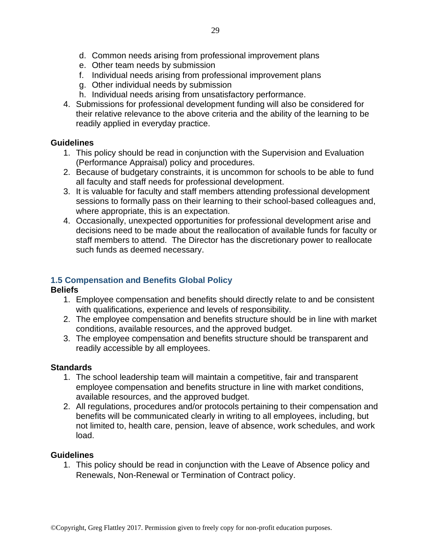- e. Other team needs by submission
- f. Individual needs arising from professional improvement plans
- g. Other individual needs by submission
- h. Individual needs arising from unsatisfactory performance.
- 4. Submissions for professional development funding will also be considered for their relative relevance to the above criteria and the ability of the learning to be readily applied in everyday practice.

- 1. This policy should be read in conjunction with the Supervision and Evaluation (Performance Appraisal) policy and procedures.
- 2. Because of budgetary constraints, it is uncommon for schools to be able to fund all faculty and staff needs for professional development.
- 3. It is valuable for faculty and staff members attending professional development sessions to formally pass on their learning to their school-based colleagues and, where appropriate, this is an expectation.
- 4. Occasionally, unexpected opportunities for professional development arise and decisions need to be made about the reallocation of available funds for faculty or staff members to attend. The Director has the discretionary power to reallocate such funds as deemed necessary.

## <span id="page-28-0"></span>**1.5 Compensation and Benefits Global Policy**

### **Beliefs**

- 1. Employee compensation and benefits should directly relate to and be consistent with qualifications, experience and levels of responsibility.
- 2. The employee compensation and benefits structure should be in line with market conditions, available resources, and the approved budget.
- 3. The employee compensation and benefits structure should be transparent and readily accessible by all employees.

## **Standards**

- 1. The school leadership team will maintain a competitive, fair and transparent employee compensation and benefits structure in line with market conditions, available resources, and the approved budget.
- 2. All regulations, procedures and/or protocols pertaining to their compensation and benefits will be communicated clearly in writing to all employees, including, but not limited to, health care, pension, leave of absence, work schedules, and work load.

### **Guidelines**

1. This policy should be read in conjunction with the Leave of Absence policy and Renewals, Non-Renewal or Termination of Contract policy.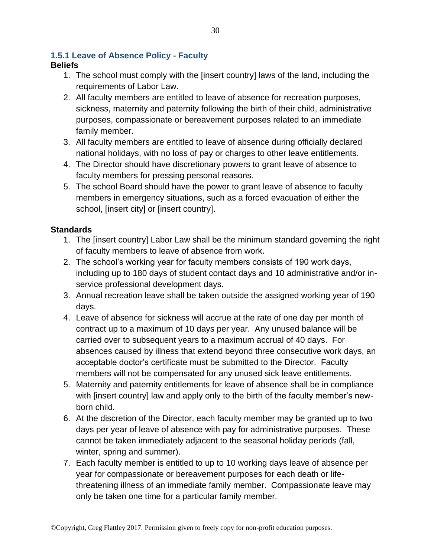### <span id="page-29-0"></span>**1.5.1 Leave of Absence Policy - Faculty**

### **Beliefs**

- 1. The school must comply with the [insert country] laws of the land, including the requirements of Labor Law.
- 2. All faculty members are entitled to leave of absence for recreation purposes, sickness, maternity and paternity following the birth of their child, administrative purposes, compassionate or bereavement purposes related to an immediate family member.
- 3. All faculty members are entitled to leave of absence during officially declared national holidays, with no loss of pay or charges to other leave entitlements.
- 4. The Director should have discretionary powers to grant leave of absence to faculty members for pressing personal reasons.
- 5. The school Board should have the power to grant leave of absence to faculty members in emergency situations, such as a forced evacuation of either the school, [insert city] or [insert country].

- 1. The [insert country] Labor Law shall be the minimum standard governing the right of faculty members to leave of absence from work.
- 2. The school's working year for faculty members consists of 190 work days, including up to 180 days of student contact days and 10 administrative and/or inservice professional development days.
- 3. Annual recreation leave shall be taken outside the assigned working year of 190 days.
- 4. Leave of absence for sickness will accrue at the rate of one day per month of contract up to a maximum of 10 days per year. Any unused balance will be carried over to subsequent years to a maximum accrual of 40 days. For absences caused by illness that extend beyond three consecutive work days, an acceptable doctor's certificate must be submitted to the Director. Faculty members will not be compensated for any unused sick leave entitlements.
- 5. Maternity and paternity entitlements for leave of absence shall be in compliance with [insert country] law and apply only to the birth of the faculty member's newborn child.
- 6. At the discretion of the Director, each faculty member may be granted up to two days per year of leave of absence with pay for administrative purposes. These cannot be taken immediately adjacent to the seasonal holiday periods (fall, winter, spring and summer).
- 7. Each faculty member is entitled to up to 10 working days leave of absence per year for compassionate or bereavement purposes for each death or lifethreatening illness of an immediate family member. Compassionate leave may only be taken one time for a particular family member.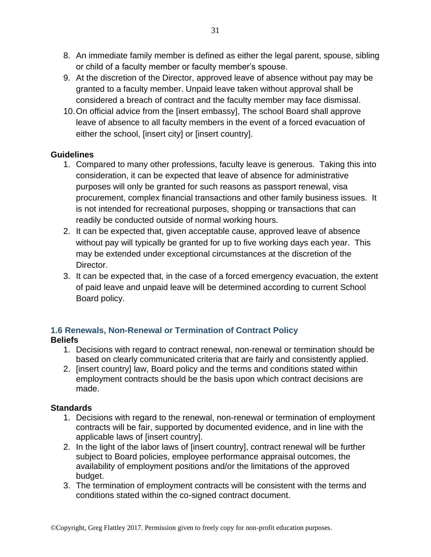- 8. An immediate family member is defined as either the legal parent, spouse, sibling or child of a faculty member or faculty member's spouse.
- 9. At the discretion of the Director, approved leave of absence without pay may be granted to a faculty member. Unpaid leave taken without approval shall be considered a breach of contract and the faculty member may face dismissal.
- 10.On official advice from the [insert embassy], The school Board shall approve leave of absence to all faculty members in the event of a forced evacuation of either the school, [insert city] or [insert country].

- 1. Compared to many other professions, faculty leave is generous. Taking this into consideration, it can be expected that leave of absence for administrative purposes will only be granted for such reasons as passport renewal, visa procurement, complex financial transactions and other family business issues. It is not intended for recreational purposes, shopping or transactions that can readily be conducted outside of normal working hours.
- 2. It can be expected that, given acceptable cause, approved leave of absence without pay will typically be granted for up to five working days each year. This may be extended under exceptional circumstances at the discretion of the Director.
- 3. It can be expected that, in the case of a forced emergency evacuation, the extent of paid leave and unpaid leave will be determined according to current School Board policy.

### <span id="page-30-0"></span>**1.6 Renewals, Non-Renewal or Termination of Contract Policy Beliefs**

- 1. Decisions with regard to contract renewal, non-renewal or termination should be based on clearly communicated criteria that are fairly and consistently applied.
- 2. [insert country] law, Board policy and the terms and conditions stated within employment contracts should be the basis upon which contract decisions are made.

- 1. Decisions with regard to the renewal, non-renewal or termination of employment contracts will be fair, supported by documented evidence, and in line with the applicable laws of [insert country].
- 2. In the light of the labor laws of [insert country], contract renewal will be further subject to Board policies, employee performance appraisal outcomes, the availability of employment positions and/or the limitations of the approved budget.
- 3. The termination of employment contracts will be consistent with the terms and conditions stated within the co-signed contract document.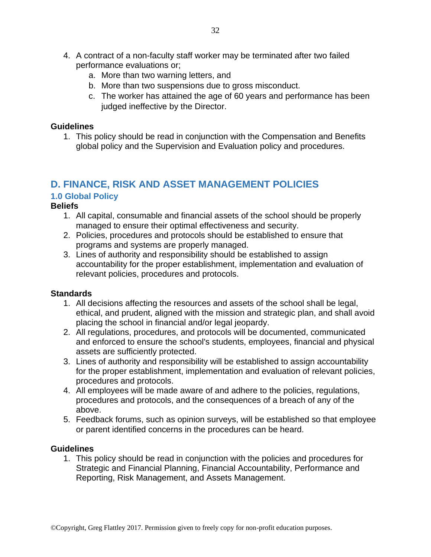- 4. A contract of a non-faculty staff worker may be terminated after two failed performance evaluations or;
	- a. More than two warning letters, and
	- b. More than two suspensions due to gross misconduct.
	- c. The worker has attained the age of 60 years and performance has been judged ineffective by the Director.

1. This policy should be read in conjunction with the Compensation and Benefits global policy and the Supervision and Evaluation policy and procedures.

## <span id="page-31-0"></span>**D. FINANCE, RISK AND ASSET MANAGEMENT POLICIES**

## <span id="page-31-1"></span>**1.0 Global Policy**

#### **Beliefs**

- 1. All capital, consumable and financial assets of the school should be properly managed to ensure their optimal effectiveness and security.
- 2. Policies, procedures and protocols should be established to ensure that programs and systems are properly managed.
- 3. Lines of authority and responsibility should be established to assign accountability for the proper establishment, implementation and evaluation of relevant policies, procedures and protocols.

#### **Standards**

- 1. All decisions affecting the resources and assets of the school shall be legal, ethical, and prudent, aligned with the mission and strategic plan, and shall avoid placing the school in financial and/or legal jeopardy.
- 2. All regulations, procedures, and protocols will be documented, communicated and enforced to ensure the school's students, employees, financial and physical assets are sufficiently protected.
- 3. Lines of authority and responsibility will be established to assign accountability for the proper establishment, implementation and evaluation of relevant policies, procedures and protocols.
- 4. All employees will be made aware of and adhere to the policies, regulations, procedures and protocols, and the consequences of a breach of any of the above.
- 5. Feedback forums, such as opinion surveys, will be established so that employee or parent identified concerns in the procedures can be heard.

#### **Guidelines**

1. This policy should be read in conjunction with the policies and procedures for Strategic and Financial Planning, Financial Accountability, Performance and Reporting, Risk Management, and Assets Management.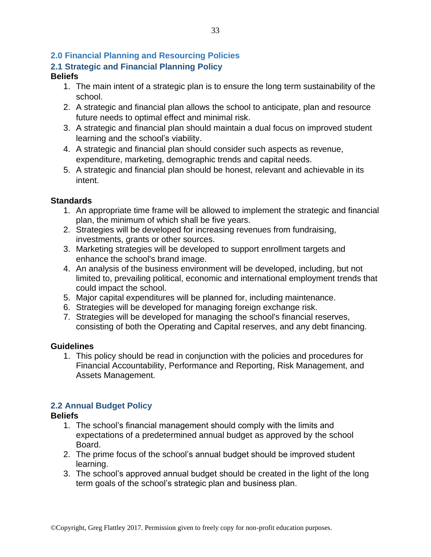## <span id="page-32-0"></span>**2.0 Financial Planning and Resourcing Policies**

## <span id="page-32-1"></span>**2.1 Strategic and Financial Planning Policy**

#### **Beliefs**

- 1. The main intent of a strategic plan is to ensure the long term sustainability of the school.
- 2. A strategic and financial plan allows the school to anticipate, plan and resource future needs to optimal effect and minimal risk.
- 3. A strategic and financial plan should maintain a dual focus on improved student learning and the school's viability.
- 4. A strategic and financial plan should consider such aspects as revenue, expenditure, marketing, demographic trends and capital needs.
- 5. A strategic and financial plan should be honest, relevant and achievable in its intent.

#### **Standards**

- 1. An appropriate time frame will be allowed to implement the strategic and financial plan, the minimum of which shall be five years.
- 2. Strategies will be developed for increasing revenues from fundraising, investments, grants or other sources.
- 3. Marketing strategies will be developed to support enrollment targets and enhance the school's brand image.
- 4. An analysis of the business environment will be developed, including, but not limited to, prevailing political, economic and international employment trends that could impact the school.
- 5. Major capital expenditures will be planned for, including maintenance.
- 6. Strategies will be developed for managing foreign exchange risk.
- 7. Strategies will be developed for managing the school's financial reserves, consisting of both the Operating and Capital reserves, and any debt financing.

#### **Guidelines**

1. This policy should be read in conjunction with the policies and procedures for Financial Accountability, Performance and Reporting, Risk Management, and Assets Management.

### <span id="page-32-2"></span>**2.2 Annual Budget Policy**

### **Beliefs**

- 1. The school's financial management should comply with the limits and expectations of a predetermined annual budget as approved by the school Board.
- 2. The prime focus of the school's annual budget should be improved student learning.
- 3. The school's approved annual budget should be created in the light of the long term goals of the school's strategic plan and business plan.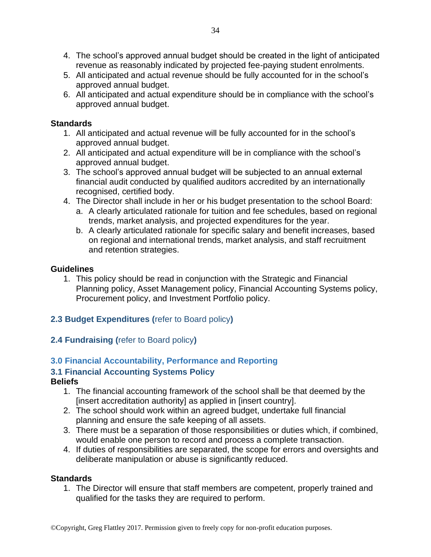- 4. The school's approved annual budget should be created in the light of anticipated revenue as reasonably indicated by projected fee-paying student enrolments.
- 5. All anticipated and actual revenue should be fully accounted for in the school's approved annual budget.
- 6. All anticipated and actual expenditure should be in compliance with the school's approved annual budget.

#### **Standards**

- 1. All anticipated and actual revenue will be fully accounted for in the school's approved annual budget.
- 2. All anticipated and actual expenditure will be in compliance with the school's approved annual budget.
- 3. The school's approved annual budget will be subjected to an annual external financial audit conducted by qualified auditors accredited by an internationally recognised, certified body.
- 4. The Director shall include in her or his budget presentation to the school Board:
	- a. A clearly articulated rationale for tuition and fee schedules, based on regional trends, market analysis, and projected expenditures for the year.
	- b. A clearly articulated rationale for specific salary and benefit increases, based on regional and international trends, market analysis, and staff recruitment and retention strategies.

#### **Guidelines**

1. This policy should be read in conjunction with the Strategic and Financial Planning policy, Asset Management policy, Financial Accounting Systems policy, Procurement policy, and Investment Portfolio policy.

## <span id="page-33-0"></span>**2.3 Budget Expenditures (**refer to Board policy**)**

### <span id="page-33-1"></span>**2.4 Fundraising (**refer to Board policy**)**

## <span id="page-33-2"></span>**3.0 Financial Accountability, Performance and Reporting**

### <span id="page-33-3"></span>**3.1 Financial Accounting Systems Policy**

### **Beliefs**

- 1. The financial accounting framework of the school shall be that deemed by the [insert accreditation authority] as applied in [insert country].
- 2. The school should work within an agreed budget, undertake full financial planning and ensure the safe keeping of all assets.
- 3. There must be a separation of those responsibilities or duties which, if combined, would enable one person to record and process a complete transaction.
- 4. If duties of responsibilities are separated, the scope for errors and oversights and deliberate manipulation or abuse is significantly reduced.

#### **Standards**

1. The Director will ensure that staff members are competent, properly trained and qualified for the tasks they are required to perform.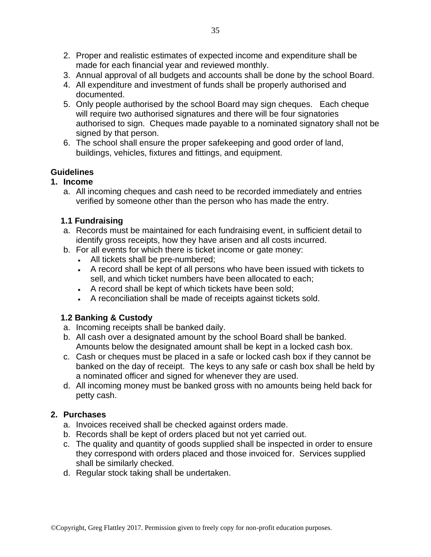- 2. Proper and realistic estimates of expected income and expenditure shall be made for each financial year and reviewed monthly.
- 3. Annual approval of all budgets and accounts shall be done by the school Board.
- 4. All expenditure and investment of funds shall be properly authorised and documented.
- 5. Only people authorised by the school Board may sign cheques. Each cheque will require two authorised signatures and there will be four signatories authorised to sign. Cheques made payable to a nominated signatory shall not be signed by that person.
- 6. The school shall ensure the proper safekeeping and good order of land, buildings, vehicles, fixtures and fittings, and equipment.

### **1. Income**

a. All incoming cheques and cash need to be recorded immediately and entries verified by someone other than the person who has made the entry.

### **1.1 Fundraising**

- a. Records must be maintained for each fundraising event, in sufficient detail to identify gross receipts, how they have arisen and all costs incurred.
- b. For all events for which there is ticket income or gate money:
	- All tickets shall be pre-numbered;
	- A record shall be kept of all persons who have been issued with tickets to sell, and which ticket numbers have been allocated to each;
	- A record shall be kept of which tickets have been sold;
	- A reconciliation shall be made of receipts against tickets sold.

### **1.2 Banking & Custody**

- a. Incoming receipts shall be banked daily.
- b. All cash over a designated amount by the school Board shall be banked. Amounts below the designated amount shall be kept in a locked cash box.
- c. Cash or cheques must be placed in a safe or locked cash box if they cannot be banked on the day of receipt. The keys to any safe or cash box shall be held by a nominated officer and signed for whenever they are used.
- d. All incoming money must be banked gross with no amounts being held back for petty cash.

### **2. Purchases**

- a. Invoices received shall be checked against orders made.
- b. Records shall be kept of orders placed but not yet carried out.
- c. The quality and quantity of goods supplied shall be inspected in order to ensure they correspond with orders placed and those invoiced for. Services supplied shall be similarly checked.
- d. Regular stock taking shall be undertaken.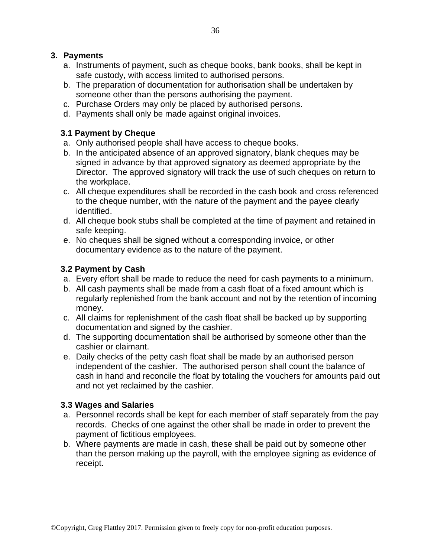#### **3. Payments**

- a. Instruments of payment, such as cheque books, bank books, shall be kept in safe custody, with access limited to authorised persons.
- b. The preparation of documentation for authorisation shall be undertaken by someone other than the persons authorising the payment.
- c. Purchase Orders may only be placed by authorised persons.
- d. Payments shall only be made against original invoices.

#### **3.1 Payment by Cheque**

- a. Only authorised people shall have access to cheque books.
- b. In the anticipated absence of an approved signatory, blank cheques may be signed in advance by that approved signatory as deemed appropriate by the Director. The approved signatory will track the use of such cheques on return to the workplace.
- c. All cheque expenditures shall be recorded in the cash book and cross referenced to the cheque number, with the nature of the payment and the payee clearly identified.
- d. All cheque book stubs shall be completed at the time of payment and retained in safe keeping.
- e. No cheques shall be signed without a corresponding invoice, or other documentary evidence as to the nature of the payment.

### **3.2 Payment by Cash**

- a. Every effort shall be made to reduce the need for cash payments to a minimum.
- b. All cash payments shall be made from a cash float of a fixed amount which is regularly replenished from the bank account and not by the retention of incoming money.
- c. All claims for replenishment of the cash float shall be backed up by supporting documentation and signed by the cashier.
- d. The supporting documentation shall be authorised by someone other than the cashier or claimant.
- e. Daily checks of the petty cash float shall be made by an authorised person independent of the cashier. The authorised person shall count the balance of cash in hand and reconcile the float by totaling the vouchers for amounts paid out and not yet reclaimed by the cashier.

#### **3.3 Wages and Salaries**

- a. Personnel records shall be kept for each member of staff separately from the pay records. Checks of one against the other shall be made in order to prevent the payment of fictitious employees.
- b. Where payments are made in cash, these shall be paid out by someone other than the person making up the payroll, with the employee signing as evidence of receipt.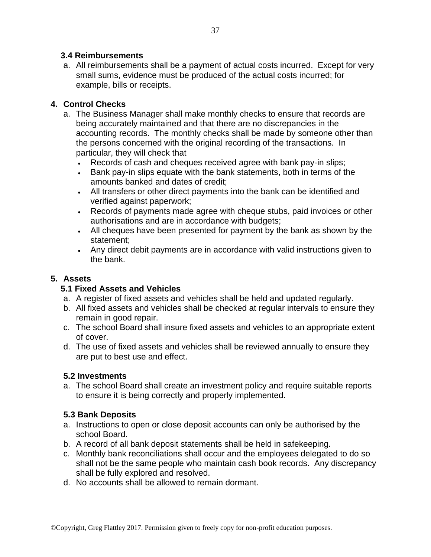#### **3.4 Reimbursements**

a. All reimbursements shall be a payment of actual costs incurred. Except for very small sums, evidence must be produced of the actual costs incurred; for example, bills or receipts.

### **4. Control Checks**

- a. The Business Manager shall make monthly checks to ensure that records are being accurately maintained and that there are no discrepancies in the accounting records. The monthly checks shall be made by someone other than the persons concerned with the original recording of the transactions. In particular, they will check that
	- Records of cash and cheques received agree with bank pay-in slips;
	- Bank pay-in slips equate with the bank statements, both in terms of the amounts banked and dates of credit;
	- All transfers or other direct payments into the bank can be identified and verified against paperwork;
	- Records of payments made agree with cheque stubs, paid invoices or other authorisations and are in accordance with budgets;
	- All cheques have been presented for payment by the bank as shown by the statement;
	- Any direct debit payments are in accordance with valid instructions given to the bank.

## **5. Assets**

### **5.1 Fixed Assets and Vehicles**

- a. A register of fixed assets and vehicles shall be held and updated regularly.
- b. All fixed assets and vehicles shall be checked at regular intervals to ensure they remain in good repair.
- c. The school Board shall insure fixed assets and vehicles to an appropriate extent of cover.
- d. The use of fixed assets and vehicles shall be reviewed annually to ensure they are put to best use and effect.

### **5.2 Investments**

a. The school Board shall create an investment policy and require suitable reports to ensure it is being correctly and properly implemented.

## **5.3 Bank Deposits**

- a. Instructions to open or close deposit accounts can only be authorised by the school Board.
- b. A record of all bank deposit statements shall be held in safekeeping.
- c. Monthly bank reconciliations shall occur and the employees delegated to do so shall not be the same people who maintain cash book records. Any discrepancy shall be fully explored and resolved.
- d. No accounts shall be allowed to remain dormant.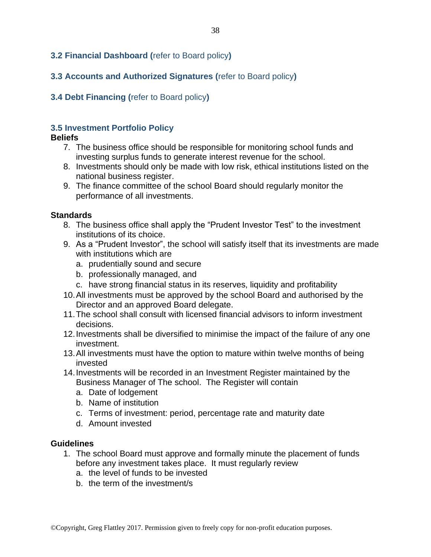#### <span id="page-37-0"></span>**3.2 Financial Dashboard (**refer to Board policy**)**

### <span id="page-37-1"></span>**3.3 Accounts and Authorized Signatures (**refer to Board policy**)**

#### <span id="page-37-2"></span>**3.4 Debt Financing (**refer to Board policy**)**

#### <span id="page-37-3"></span>**3.5 Investment Portfolio Policy**

#### **Beliefs**

- 7. The business office should be responsible for monitoring school funds and investing surplus funds to generate interest revenue for the school.
- 8. Investments should only be made with low risk, ethical institutions listed on the national business register.
- 9. The finance committee of the school Board should regularly monitor the performance of all investments.

#### **Standards**

- 8. The business office shall apply the "Prudent Investor Test" to the investment institutions of its choice.
- 9. As a "Prudent Investor", the school will satisfy itself that its investments are made with institutions which are
	- a. prudentially sound and secure
	- b. professionally managed, and
	- c. have strong financial status in its reserves, liquidity and profitability
- 10.All investments must be approved by the school Board and authorised by the Director and an approved Board delegate.
- 11.The school shall consult with licensed financial advisors to inform investment decisions.
- 12.Investments shall be diversified to minimise the impact of the failure of any one investment.
- 13.All investments must have the option to mature within twelve months of being invested
- 14.Investments will be recorded in an Investment Register maintained by the Business Manager of The school. The Register will contain
	- a. Date of lodgement
	- b. Name of institution
	- c. Terms of investment: period, percentage rate and maturity date
	- d. Amount invested

#### **Guidelines**

- 1. The school Board must approve and formally minute the placement of funds before any investment takes place. It must regularly review
	- a. the level of funds to be invested
	- b. the term of the investment/s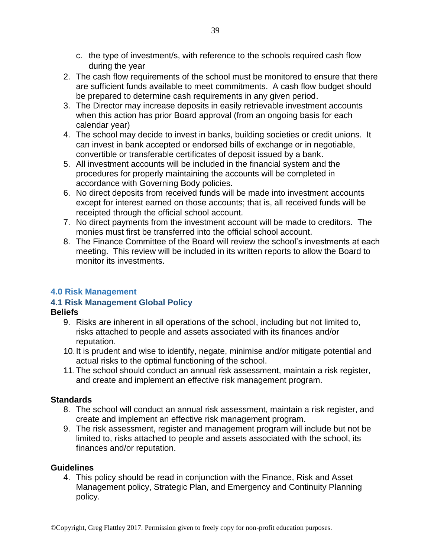- c. the type of investment/s, with reference to the schools required cash flow during the year
- 2. The cash flow requirements of the school must be monitored to ensure that there are sufficient funds available to meet commitments. A cash flow budget should be prepared to determine cash requirements in any given period.
- 3. The Director may increase deposits in easily retrievable investment accounts when this action has prior Board approval (from an ongoing basis for each calendar year)
- 4. The school may decide to invest in banks, building societies or credit unions. It can invest in bank accepted or endorsed bills of exchange or in negotiable, convertible or transferable certificates of deposit issued by a bank.
- 5. All investment accounts will be included in the financial system and the procedures for properly maintaining the accounts will be completed in accordance with Governing Body policies.
- 6. No direct deposits from received funds will be made into investment accounts except for interest earned on those accounts; that is, all received funds will be receipted through the official school account.
- 7. No direct payments from the investment account will be made to creditors. The monies must first be transferred into the official school account.
- 8. The Finance Committee of the Board will review the school's investments at each meeting. This review will be included in its written reports to allow the Board to monitor its investments.

## <span id="page-38-0"></span>**4.0 Risk Management**

### <span id="page-38-1"></span>**4.1 Risk Management Global Policy**

### **Beliefs**

- 9. Risks are inherent in all operations of the school, including but not limited to, risks attached to people and assets associated with its finances and/or reputation.
- 10.It is prudent and wise to identify, negate, minimise and/or mitigate potential and actual risks to the optimal functioning of the school.
- 11.The school should conduct an annual risk assessment, maintain a risk register, and create and implement an effective risk management program.

### **Standards**

- 8. The school will conduct an annual risk assessment, maintain a risk register, and create and implement an effective risk management program.
- 9. The risk assessment, register and management program will include but not be limited to, risks attached to people and assets associated with the school, its finances and/or reputation.

### **Guidelines**

4. This policy should be read in conjunction with the Finance, Risk and Asset Management policy, Strategic Plan, and Emergency and Continuity Planning policy.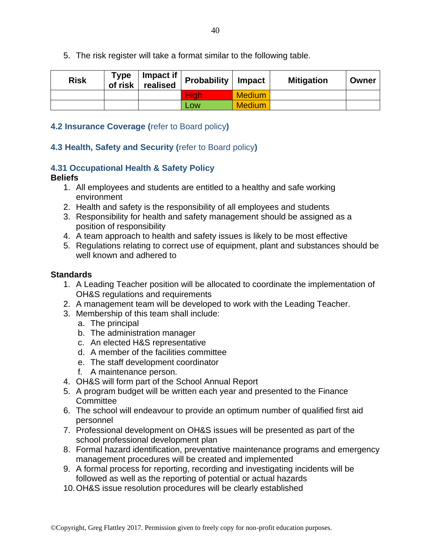5. The risk register will take a format similar to the following table.

| <b>Risk</b> | <b>Type</b><br>of risk <b>b</b> | Impact if<br>realised | <b>Probability</b> | <b>Impact</b> | <b>Mitigation</b> | Owner |
|-------------|---------------------------------|-----------------------|--------------------|---------------|-------------------|-------|
|             |                                 |                       | <b>High</b>        | <b>Medium</b> |                   |       |
|             |                                 |                       | <b>Low</b>         | Medium        |                   |       |

#### <span id="page-39-0"></span>**4.2 Insurance Coverage (**refer to Board policy**)**

### <span id="page-39-1"></span>**4.3 Health, Safety and Security (**refer to Board policy**)**

### <span id="page-39-2"></span>**4.31 Occupational Health & Safety Policy**

#### **Beliefs**

- 1. All employees and students are entitled to a healthy and safe working environment
- 2. Health and safety is the responsibility of all employees and students
- 3. Responsibility for health and safety management should be assigned as a position of responsibility
- 4. A team approach to health and safety issues is likely to be most effective
- 5. Regulations relating to correct use of equipment, plant and substances should be well known and adhered to

- 1. A Leading Teacher position will be allocated to coordinate the implementation of OH&S regulations and requirements
- 2. A management team will be developed to work with the Leading Teacher.
- 3. Membership of this team shall include:
	- a. The principal
	- b. The administration manager
	- c. An elected H&S representative
	- d. A member of the facilities committee
	- e. The staff development coordinator
	- f. A maintenance person.
- 4. OH&S will form part of the School Annual Report
- 5. A program budget will be written each year and presented to the Finance **Committee**
- 6. The school will endeavour to provide an optimum number of qualified first aid personnel
- 7. Professional development on OH&S issues will be presented as part of the school professional development plan
- 8. Formal hazard identification, preventative maintenance programs and emergency management procedures will be created and implemented
- 9. A formal process for reporting, recording and investigating incidents will be followed as well as the reporting of potential or actual hazards
- 10.OH&S issue resolution procedures will be clearly established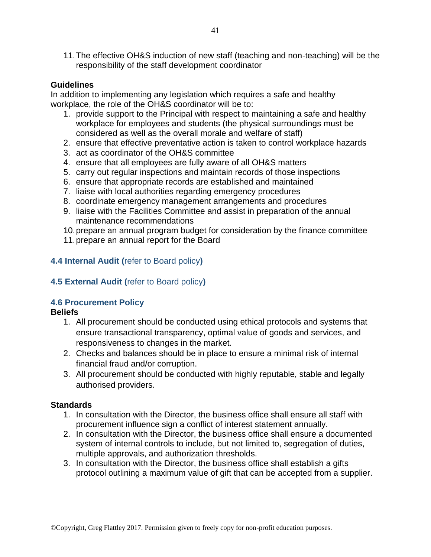11.The effective OH&S induction of new staff (teaching and non-teaching) will be the responsibility of the staff development coordinator

#### **Guidelines**

In addition to implementing any legislation which requires a safe and healthy workplace, the role of the OH&S coordinator will be to:

- 1. provide support to the Principal with respect to maintaining a safe and healthy workplace for employees and students (the physical surroundings must be considered as well as the overall morale and welfare of staff)
- 2. ensure that effective preventative action is taken to control workplace hazards
- 3. act as coordinator of the OH&S committee
- 4. ensure that all employees are fully aware of all OH&S matters
- 5. carry out regular inspections and maintain records of those inspections
- 6. ensure that appropriate records are established and maintained
- 7. liaise with local authorities regarding emergency procedures
- 8. coordinate emergency management arrangements and procedures
- 9. liaise with the Facilities Committee and assist in preparation of the annual maintenance recommendations
- 10.prepare an annual program budget for consideration by the finance committee
- 11.prepare an annual report for the Board

#### <span id="page-40-0"></span>**4.4 Internal Audit (**refer to Board policy**)**

#### <span id="page-40-1"></span>**4.5 External Audit (**refer to Board policy**)**

#### <span id="page-40-2"></span>**4.6 Procurement Policy**

#### **Beliefs**

- 1. All procurement should be conducted using ethical protocols and systems that ensure transactional transparency, optimal value of goods and services, and responsiveness to changes in the market.
- 2. Checks and balances should be in place to ensure a minimal risk of internal financial fraud and/or corruption.
- 3. All procurement should be conducted with highly reputable, stable and legally authorised providers.

- 1. In consultation with the Director, the business office shall ensure all staff with procurement influence sign a conflict of interest statement annually.
- 2. In consultation with the Director, the business office shall ensure a documented system of internal controls to include, but not limited to, segregation of duties, multiple approvals, and authorization thresholds.
- 3. In consultation with the Director, the business office shall establish a gifts protocol outlining a maximum value of gift that can be accepted from a supplier.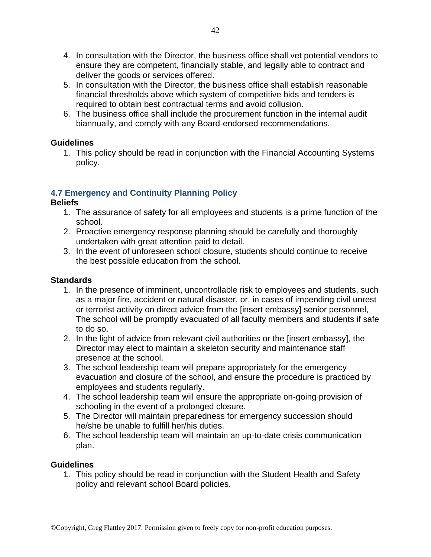- 4. In consultation with the Director, the business office shall vet potential vendors to ensure they are competent, financially stable, and legally able to contract and deliver the goods or services offered.
- 5. In consultation with the Director, the business office shall establish reasonable financial thresholds above which system of competitive bids and tenders is required to obtain best contractual terms and avoid collusion.
- 6. The business office shall include the procurement function in the internal audit biannually, and comply with any Board-endorsed recommendations.

1. This policy should be read in conjunction with the Financial Accounting Systems policy.

## <span id="page-41-0"></span>**4.7 Emergency and Continuity Planning Policy**

#### **Beliefs**

- 1. The assurance of safety for all employees and students is a prime function of the school.
- 2. Proactive emergency response planning should be carefully and thoroughly undertaken with great attention paid to detail.
- 3. In the event of unforeseen school closure, students should continue to receive the best possible education from the school.

#### **Standards**

- 1. In the presence of imminent, uncontrollable risk to employees and students, such as a major fire, accident or natural disaster, or, in cases of impending civil unrest or terrorist activity on direct advice from the [insert embassy] senior personnel, The school will be promptly evacuated of all faculty members and students if safe to do so.
- 2. In the light of advice from relevant civil authorities or the [insert embassy], the Director may elect to maintain a skeleton security and maintenance staff presence at the school.
- 3. The school leadership team will prepare appropriately for the emergency evacuation and closure of the school, and ensure the procedure is practiced by employees and students regularly.
- 4. The school leadership team will ensure the appropriate on-going provision of schooling in the event of a prolonged closure.
- 5. The Director will maintain preparedness for emergency succession should he/she be unable to fulfill her/his duties.
- 6. The school leadership team will maintain an up-to-date crisis communication plan.

#### **Guidelines**

1. This policy should be read in conjunction with the Student Health and Safety policy and relevant school Board policies.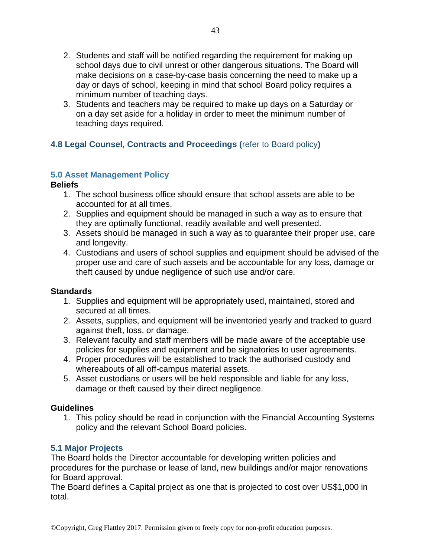- 2. Students and staff will be notified regarding the requirement for making up school days due to civil unrest or other dangerous situations. The Board will make decisions on a case-by-case basis concerning the need to make up a day or days of school, keeping in mind that school Board policy requires a minimum number of teaching days.
- 3. Students and teachers may be required to make up days on a Saturday or on a day set aside for a holiday in order to meet the minimum number of teaching days required.

## <span id="page-42-0"></span>**4.8 Legal Counsel, Contracts and Proceedings (**refer to Board policy**)**

### <span id="page-42-1"></span>**5.0 Asset Management Policy**

### **Beliefs**

- 1. The school business office should ensure that school assets are able to be accounted for at all times.
- 2. Supplies and equipment should be managed in such a way as to ensure that they are optimally functional, readily available and well presented.
- 3. Assets should be managed in such a way as to guarantee their proper use, care and longevity.
- 4. Custodians and users of school supplies and equipment should be advised of the proper use and care of such assets and be accountable for any loss, damage or theft caused by undue negligence of such use and/or care.

### **Standards**

- 1. Supplies and equipment will be appropriately used, maintained, stored and secured at all times.
- 2. Assets, supplies, and equipment will be inventoried yearly and tracked to guard against theft, loss, or damage.
- 3. Relevant faculty and staff members will be made aware of the acceptable use policies for supplies and equipment and be signatories to user agreements.
- 4. Proper procedures will be established to track the authorised custody and whereabouts of all off-campus material assets.
- 5. Asset custodians or users will be held responsible and liable for any loss, damage or theft caused by their direct negligence.

### **Guidelines**

1. This policy should be read in conjunction with the Financial Accounting Systems policy and the relevant School Board policies.

### <span id="page-42-2"></span>**5.1 Major Projects**

The Board holds the Director accountable for developing written policies and procedures for the purchase or lease of land, new buildings and/or major renovations for Board approval.

The Board defines a Capital project as one that is projected to cost over US\$1,000 in total.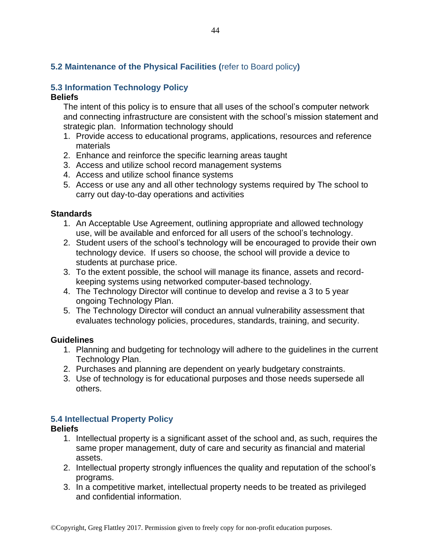## <span id="page-43-0"></span>**5.2 Maintenance of the Physical Facilities (**refer to Board policy**)**

# <span id="page-43-1"></span>**5.3 Information Technology Policy**

#### **Beliefs**

The intent of this policy is to ensure that all uses of the school's computer network and connecting infrastructure are consistent with the school's mission statement and strategic plan. Information technology should

- 1. Provide access to educational programs, applications, resources and reference materials
- 2. Enhance and reinforce the specific learning areas taught
- 3. Access and utilize school record management systems
- 4. Access and utilize school finance systems
- 5. Access or use any and all other technology systems required by The school to carry out day-to-day operations and activities

#### **Standards**

- 1. An Acceptable Use Agreement, outlining appropriate and allowed technology use, will be available and enforced for all users of the school's technology.
- 2. Student users of the school's technology will be encouraged to provide their own technology device. If users so choose, the school will provide a device to students at purchase price.
- 3. To the extent possible, the school will manage its finance, assets and recordkeeping systems using networked computer-based technology.
- 4. The Technology Director will continue to develop and revise a 3 to 5 year ongoing Technology Plan.
- 5. The Technology Director will conduct an annual vulnerability assessment that evaluates technology policies, procedures, standards, training, and security.

#### **Guidelines**

- 1. Planning and budgeting for technology will adhere to the guidelines in the current Technology Plan.
- 2. Purchases and planning are dependent on yearly budgetary constraints.
- 3. Use of technology is for educational purposes and those needs supersede all others.

#### <span id="page-43-2"></span>**5.4 Intellectual Property Policy**

#### **Beliefs**

- 1. Intellectual property is a significant asset of the school and, as such, requires the same proper management, duty of care and security as financial and material assets.
- 2. Intellectual property strongly influences the quality and reputation of the school's programs.
- 3. In a competitive market, intellectual property needs to be treated as privileged and confidential information.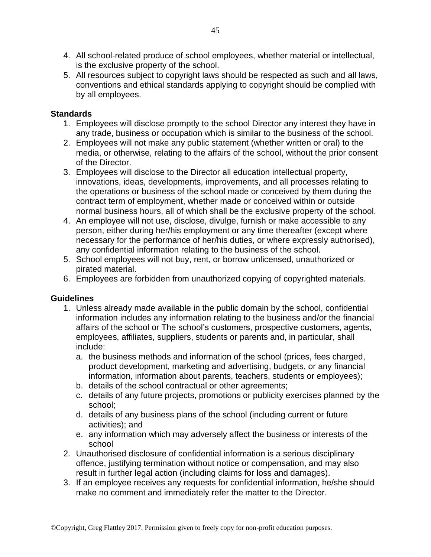- 4. All school-related produce of school employees, whether material or intellectual, is the exclusive property of the school.
- 5. All resources subject to copyright laws should be respected as such and all laws, conventions and ethical standards applying to copyright should be complied with by all employees.

#### **Standards**

- 1. Employees will disclose promptly to the school Director any interest they have in any trade, business or occupation which is similar to the business of the school.
- 2. Employees will not make any public statement (whether written or oral) to the media, or otherwise, relating to the affairs of the school, without the prior consent of the Director.
- 3. Employees will disclose to the Director all education intellectual property, innovations, ideas, developments, improvements, and all processes relating to the operations or business of the school made or conceived by them during the contract term of employment, whether made or conceived within or outside normal business hours, all of which shall be the exclusive property of the school.
- 4. An employee will not use, disclose, divulge, furnish or make accessible to any person, either during her/his employment or any time thereafter (except where necessary for the performance of her/his duties, or where expressly authorised), any confidential information relating to the business of the school.
- 5. School employees will not buy, rent, or borrow unlicensed, unauthorized or pirated material.
- 6. Employees are forbidden from unauthorized copying of copyrighted materials.

#### **Guidelines**

- 1. Unless already made available in the public domain by the school, confidential information includes any information relating to the business and/or the financial affairs of the school or The school's customers, prospective customers, agents, employees, affiliates, suppliers, students or parents and, in particular, shall include:
	- a. the business methods and information of the school (prices, fees charged, product development, marketing and advertising, budgets, or any financial information, information about parents, teachers, students or employees);
	- b. details of the school contractual or other agreements;
	- c. details of any future projects, promotions or publicity exercises planned by the school;
	- d. details of any business plans of the school (including current or future activities); and
	- e. any information which may adversely affect the business or interests of the school
- 2. Unauthorised disclosure of confidential information is a serious disciplinary offence, justifying termination without notice or compensation, and may also result in further legal action (including claims for loss and damages).
- 3. If an employee receives any requests for confidential information, he/she should make no comment and immediately refer the matter to the Director.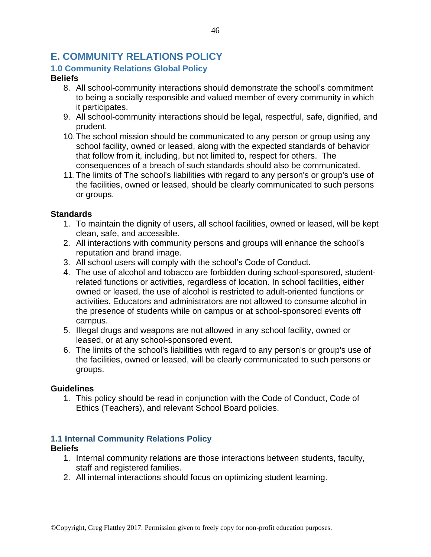## <span id="page-45-0"></span>**E. COMMUNITY RELATIONS POLICY**

## <span id="page-45-1"></span>**1.0 Community Relations Global Policy**

#### **Beliefs**

- 8. All school-community interactions should demonstrate the school's commitment to being a socially responsible and valued member of every community in which it participates.
- 9. All school-community interactions should be legal, respectful, safe, dignified, and prudent.
- 10.The school mission should be communicated to any person or group using any school facility, owned or leased, along with the expected standards of behavior that follow from it, including, but not limited to, respect for others. The consequences of a breach of such standards should also be communicated.
- 11.The limits of The school's liabilities with regard to any person's or group's use of the facilities, owned or leased, should be clearly communicated to such persons or groups.

### **Standards**

- 1. To maintain the dignity of users, all school facilities, owned or leased, will be kept clean, safe, and accessible.
- 2. All interactions with community persons and groups will enhance the school's reputation and brand image.
- 3. All school users will comply with the school's Code of Conduct.
- 4. The use of alcohol and tobacco are forbidden during school-sponsored, studentrelated functions or activities, regardless of location. In school facilities, either owned or leased, the use of alcohol is restricted to adult-oriented functions or activities. Educators and administrators are not allowed to consume alcohol in the presence of students while on campus or at school-sponsored events off campus.
- 5. Illegal drugs and weapons are not allowed in any school facility, owned or leased, or at any school-sponsored event.
- 6. The limits of the school's liabilities with regard to any person's or group's use of the facilities, owned or leased, will be clearly communicated to such persons or groups.

### **Guidelines**

1. This policy should be read in conjunction with the Code of Conduct, Code of Ethics (Teachers), and relevant School Board policies.

## <span id="page-45-2"></span>**1.1 Internal Community Relations Policy**

### **Beliefs**

- 1. Internal community relations are those interactions between students, faculty, staff and registered families.
- 2. All internal interactions should focus on optimizing student learning.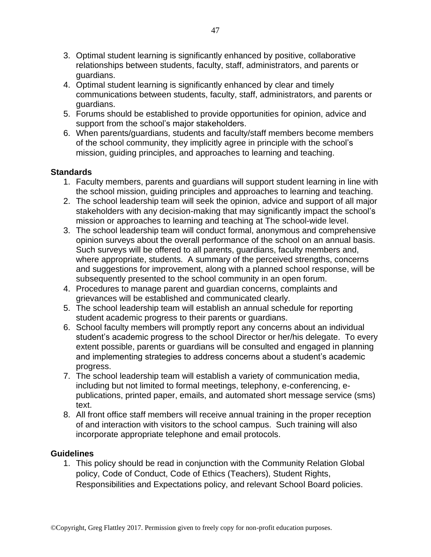- 3. Optimal student learning is significantly enhanced by positive, collaborative relationships between students, faculty, staff, administrators, and parents or guardians.
- 4. Optimal student learning is significantly enhanced by clear and timely communications between students, faculty, staff, administrators, and parents or guardians.
- 5. Forums should be established to provide opportunities for opinion, advice and support from the school's major stakeholders.
- 6. When parents/guardians, students and faculty/staff members become members of the school community, they implicitly agree in principle with the school's mission, guiding principles, and approaches to learning and teaching.

#### **Standards**

- 1. Faculty members, parents and guardians will support student learning in line with the school mission, guiding principles and approaches to learning and teaching.
- 2. The school leadership team will seek the opinion, advice and support of all major stakeholders with any decision-making that may significantly impact the school's mission or approaches to learning and teaching at The school-wide level.
- 3. The school leadership team will conduct formal, anonymous and comprehensive opinion surveys about the overall performance of the school on an annual basis. Such surveys will be offered to all parents, guardians, faculty members and, where appropriate, students. A summary of the perceived strengths, concerns and suggestions for improvement, along with a planned school response, will be subsequently presented to the school community in an open forum.
- 4. Procedures to manage parent and guardian concerns, complaints and grievances will be established and communicated clearly.
- 5. The school leadership team will establish an annual schedule for reporting student academic progress to their parents or guardians.
- 6. School faculty members will promptly report any concerns about an individual student's academic progress to the school Director or her/his delegate. To every extent possible, parents or guardians will be consulted and engaged in planning and implementing strategies to address concerns about a student's academic progress.
- 7. The school leadership team will establish a variety of communication media, including but not limited to formal meetings, telephony, e-conferencing, epublications, printed paper, emails, and automated short message service (sms) text.
- 8. All front office staff members will receive annual training in the proper reception of and interaction with visitors to the school campus. Such training will also incorporate appropriate telephone and email protocols.

#### **Guidelines**

1. This policy should be read in conjunction with the Community Relation Global policy, Code of Conduct, Code of Ethics (Teachers), Student Rights, Responsibilities and Expectations policy, and relevant School Board policies.